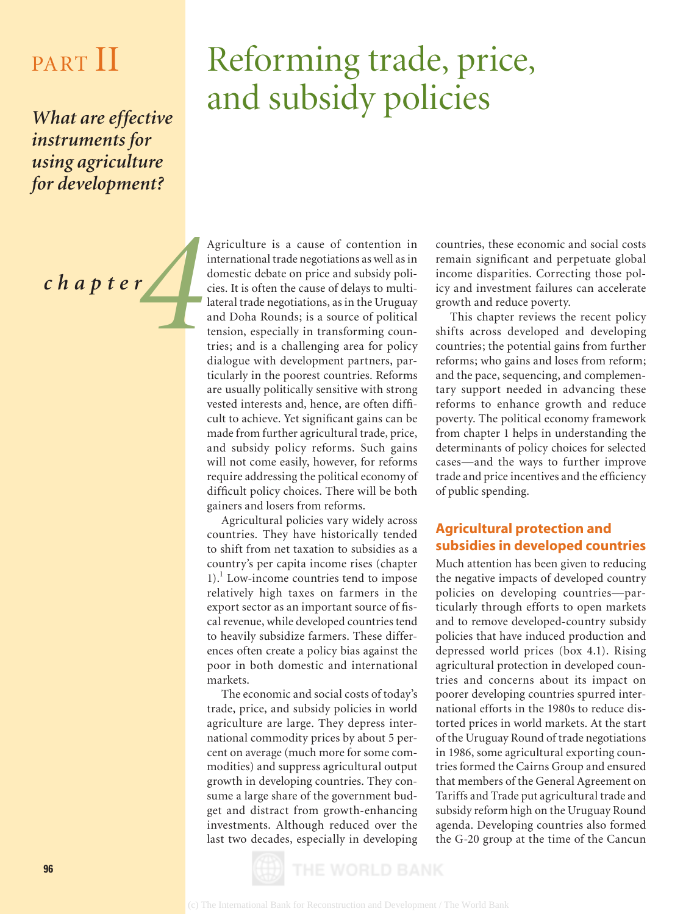# PART II

*instruments for using agriculture for development?*

# *chapter 4*

# Reforming trade, price, and subsidy policies *What are effective*

Agriculture is a cause of contention in international trade negotiations as well as in domestic debate on price and subsidy policies. It is often the cause of delays to multilateral trade negotiations, as in the Uruguay and Doha Rounds; is a source of political tension, especially in transforming countries; and is a challenging area for policy dialogue with development partners, particularly in the poorest countries. Reforms are usually politically sensitive with strong vested interests and, hence, are often difficult to achieve. Yet significant gains can be made from further agricultural trade, price, and subsidy policy reforms. Such gains will not come easily, however, for reforms require addressing the political economy of difficult policy choices. There will be both gainers and losers from reforms.

Agricultural policies vary widely across countries. They have historically tended to shift from net taxation to subsidies as a country's per capita income rises (chapter 1).<sup>1</sup> Low-income countries tend to impose relatively high taxes on farmers in the export sector as an important source of fiscal revenue, while developed countries tend to heavily subsidize farmers. These differences often create a policy bias against the poor in both domestic and international markets.

The economic and social costs of today's trade, price, and subsidy policies in world agriculture are large. They depress international commodity prices by about 5 percent on average (much more for some commodities) and suppress agricultural output growth in developing countries. They consume a large share of the government budget and distract from growth-enhancing investments. Although reduced over the last two decades, especially in developing countries, these economic and social costs remain significant and perpetuate global income disparities. Correcting those policy and investment failures can accelerate growth and reduce poverty.

This chapter reviews the recent policy shifts across developed and developing countries; the potential gains from further reforms; who gains and loses from reform; and the pace, sequencing, and complementary support needed in advancing these reforms to enhance growth and reduce poverty. The political economy framework from chapter 1 helps in understanding the determinants of policy choices for selected cases—and the ways to further improve trade and price incentives and the efficiency of public spending.

# **Agricultural protection and subsidies in developed countries**

Much attention has been given to reducing the negative impacts of developed country policies on developing countries—particularly through efforts to open markets and to remove developed-country subsidy policies that have induced production and depressed world prices (box 4.1). Rising agricultural protection in developed countries and concerns about its impact on poorer developing countries spurred international efforts in the 1980s to reduce distorted prices in world markets. At the start of the Uruguay Round of trade negotiations in 1986, some agricultural exporting countries formed the Cairns Group and ensured that members of the General Agreement on Tariffs and Trade put agricultural trade and subsidy reform high on the Uruguay Round agenda. Developing countries also formed the G-20 group at the time of the Cancun

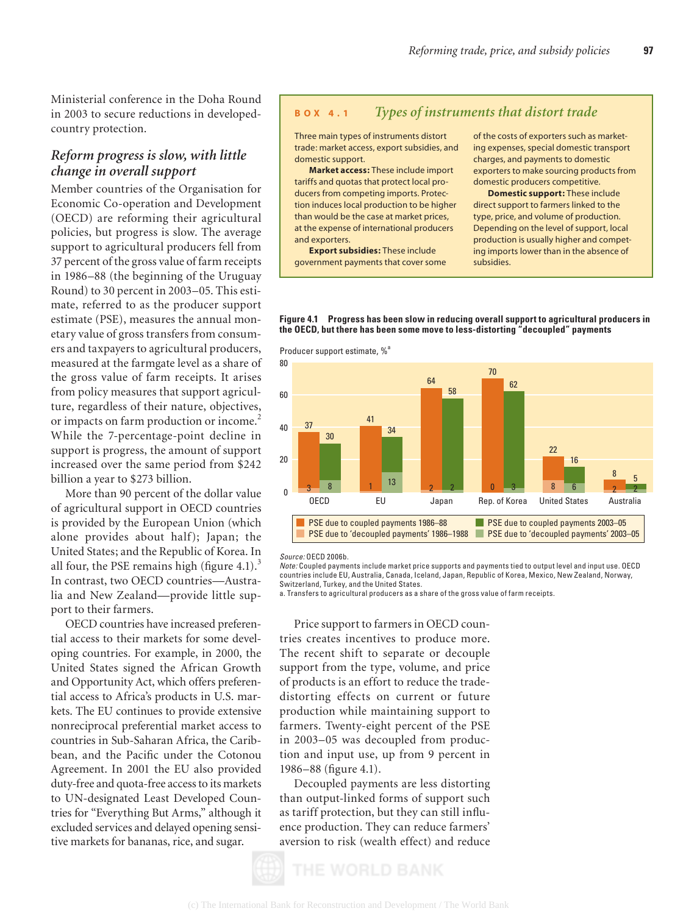Ministerial conference in the Doha Round in 2003 to secure reductions in developedcountry protection.

#### *Reform progress is slow, with little change in overall support*

Member countries of the Organisation for Economic Co-operation and Development (OECD) are reforming their agricultural policies, but progress is slow. The average support to agricultural producers fell from 37 percent of the gross value of farm receipts in 1986–88 (the beginning of the Uruguay Round) to 30 percent in 2003–05. This estimate, referred to as the producer support estimate (PSE), measures the annual monetary value of gross transfers from consumers and taxpayers to agricultural producers, measured at the farmgate level as a share of the gross value of farm receipts. It arises from policy measures that support agriculture, regardless of their nature, objectives, or impacts on farm production or income.<sup>2</sup> While the 7-percentage-point decline in support is progress, the amount of support increased over the same period from \$242 billion a year to \$273 billion.

More than 90 percent of the dollar value of agricultural support in OECD countries is provided by the European Union (which alone provides about half); Japan; the United States; and the Republic of Korea. In all four, the PSE remains high (figure  $4.1$ ).<sup>3</sup> In contrast, two OECD countries—Australia and New Zealand—provide little support to their farmers.

OECD countries have increased preferential access to their markets for some developing countries. For example, in 2000, the United States signed the African Growth and Opportunity Act, which offers preferential access to Africa's products in U.S. markets. The EU continues to provide extensive nonreciprocal preferential market access to countries in Sub-Saharan Africa, the Caribbean, and the Pacific under the Cotonou Agreement. In 2001 the EU also provided duty-free and quota-free access to its markets to UN-designated Least Developed Countries for "Everything But Arms," although it excluded services and delayed opening sensitive markets for bananas, rice, and sugar.

## **BOX 4.1** *Types of instruments that distort trade*

Three main types of instruments distort trade: market access, export subsidies, and domestic support.

**Market access:** These include import tariffs and quotas that protect local producers from competing imports. Protection induces local production to be higher than would be the case at market prices, at the expense of international producers and exporters.

**Export subsidies:** These include government payments that cover some

of the costs of exporters such as marketing expenses, special domestic transport charges, and payments to domestic exporters to make sourcing products from domestic producers competitive.

**Domestic support:** These include direct support to farmers linked to the type, price, and volume of production. Depending on the level of support, local production is usually higher and competing imports lower than in the absence of subsidies.







#### Source: OECD 2006b.

Note: Coupled payments include market price supports and payments tied to output level and input use. OECD countries include EU, Australia, Canada, Iceland, Japan, Republic of Korea, Mexico, New Zealand, Norway, Switzerland, Turkey, and the United States.

a. Transfers to agricultural producers as a share of the gross value of farm receipts.

Price support to farmers in OECD countries creates incentives to produce more. The recent shift to separate or decouple support from the type, volume, and price of products is an effort to reduce the tradedistorting effects on current or future production while maintaining support to farmers. Twenty-eight percent of the PSE in 2003–05 was decoupled from production and input use, up from 9 percent in 1986–88 (figure 4.1).

Decoupled payments are less distorting than output-linked forms of support such as tariff protection, but they can still influence production. They can reduce farmers' aversion to risk (wealth effect) and reduce

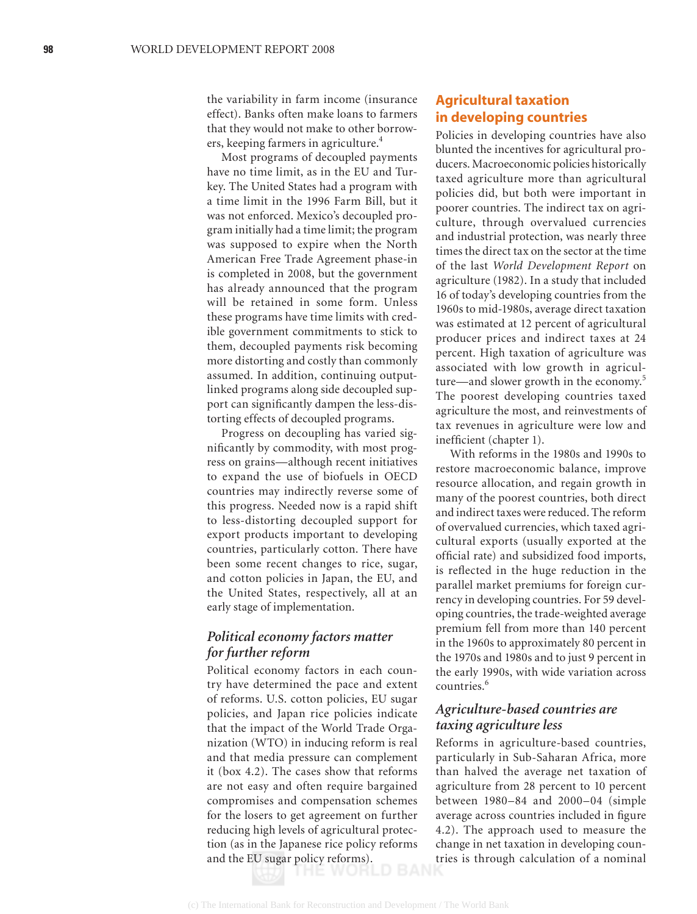the variability in farm income (insurance effect). Banks often make loans to farmers that they would not make to other borrowers, keeping farmers in agriculture.<sup>4</sup>

Most programs of decoupled payments have no time limit, as in the EU and Turkey. The United States had a program with a time limit in the 1996 Farm Bill, but it was not enforced. Mexico's decoupled program initially had a time limit; the program was supposed to expire when the North American Free Trade Agreement phase-in is completed in 2008, but the government has already announced that the program will be retained in some form. Unless these programs have time limits with credible government commitments to stick to them, decoupled payments risk becoming more distorting and costly than commonly assumed. In addition, continuing outputlinked programs along side decoupled support can significantly dampen the less-distorting effects of decoupled programs.

Progress on decoupling has varied significantly by commodity, with most progress on grains—although recent initiatives to expand the use of biofuels in OECD countries may indirectly reverse some of this progress. Needed now is a rapid shift to less-distorting decoupled support for export products important to developing countries, particularly cotton. There have been some recent changes to rice, sugar, and cotton policies in Japan, the EU, and the United States, respectively, all at an early stage of implementation.

# *Political economy factors matter for further reform*

Political economy factors in each country have determined the pace and extent of reforms. U.S. cotton policies, EU sugar policies, and Japan rice policies indicate that the impact of the World Trade Organization (WTO) in inducing reform is real and that media pressure can complement it (box 4.2). The cases show that reforms are not easy and often require bargained compromises and compensation schemes for the losers to get agreement on further reducing high levels of agricultural protection (as in the Japanese rice policy reforms and the EU sugar policy reforms).

# **Agricultural taxation in developing countries**

Policies in developing countries have also blunted the incentives for agricultural producers. Macroeconomic policies historically taxed agriculture more than agricultural policies did, but both were important in poorer countries. The indirect tax on agriculture, through overvalued currencies and industrial protection, was nearly three times the direct tax on the sector at the time of the last *World Development Report* on agriculture (1982). In a study that included 16 of today's developing countries from the 1960s to mid-1980s, average direct taxation was estimated at 12 percent of agricultural producer prices and indirect taxes at 24 percent. High taxation of agriculture was associated with low growth in agriculture—and slower growth in the economy.<sup>5</sup> The poorest developing countries taxed agriculture the most, and reinvestments of tax revenues in agriculture were low and inefficient (chapter 1).

With reforms in the 1980s and 1990s to restore macroeconomic balance, improve resource allocation, and regain growth in many of the poorest countries, both direct and indirect taxes were reduced. The reform of overvalued currencies, which taxed agricultural exports (usually exported at the official rate) and subsidized food imports, is reflected in the huge reduction in the parallel market premiums for foreign currency in developing countries. For 59 developing countries, the trade-weighted average premium fell from more than 140 percent in the 1960s to approximately 80 percent in the 1970s and 1980s and to just 9 percent in the early 1990s, with wide variation across countries.<sup>6</sup>

#### *Agriculture-based countries are taxing agriculture less*

Reforms in agriculture-based countries, particularly in Sub-Saharan Africa, more than halved the average net taxation of agriculture from 28 percent to 10 percent between 1980–84 and 2000–04 (simple average across countries included in figure 4.2). The approach used to measure the change in net taxation in developing countries is through calculation of a nominal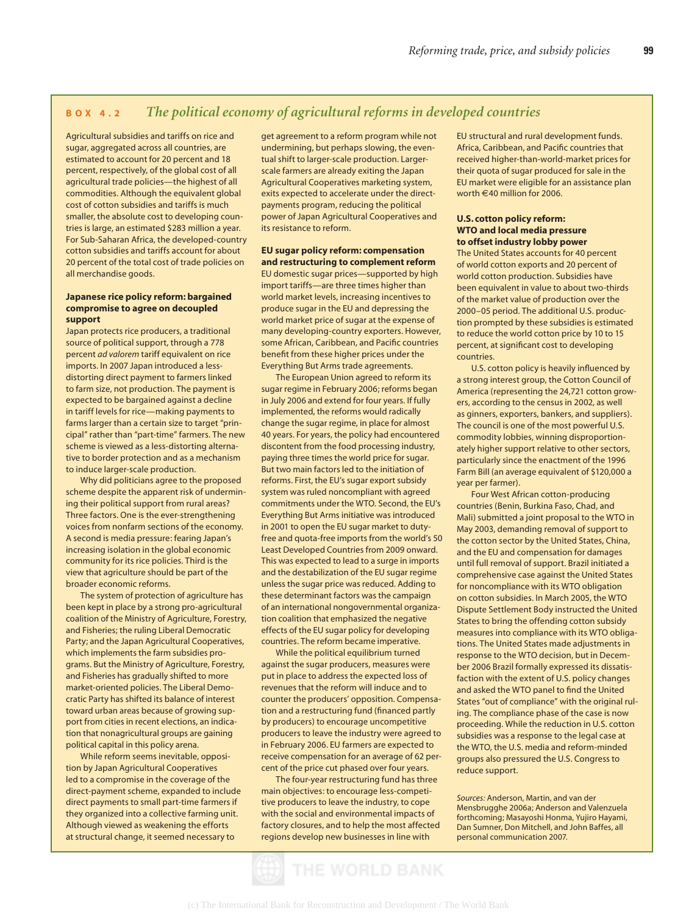# **BOX 4.2** *The political economy of agricultural reforms in developed countries*

Agricultural subsidies and tariffs on rice and sugar, aggregated across all countries, are estimated to account for 20 percent and 18 percent, respectively, of the global cost of all agricultural trade policies—the highest of all commodities. Although the equivalent global cost of cotton subsidies and tariffs is much smaller, the absolute cost to developing countries is large, an estimated \$283 million a year. For Sub-Saharan Africa, the developed-country cotton subsidies and tariffs account for about 20 percent of the total cost of trade policies on all merchandise goods.

#### **Japanese rice policy reform: bargained compromise to agree on decoupled support**

Japan protects rice producers, a traditional source of political support, through a 778 percent *ad valorem* tariff equivalent on rice imports. In 2007 Japan introduced a lessdistorting direct payment to farmers linked to farm size, not production. The payment is expected to be bargained against a decline in tariff levels for rice—making payments to farms larger than a certain size to target "principal" rather than "part-time" farmers. The new scheme is viewed as a less-distorting alternative to border protection and as a mechanism to induce larger-scale production.

Why did politicians agree to the proposed scheme despite the apparent risk of undermining their political support from rural areas? Three factors. One is the ever-strengthening voices from nonfarm sections of the economy. A second is media pressure: fearing Japan's increasing isolation in the global economic community for its rice policies. Third is the view that agriculture should be part of the broader economic reforms.

The system of protection of agriculture has been kept in place by a strong pro-agricultural coalition of the Ministry of Agriculture, Forestry, and Fisheries; the ruling Liberal Democratic Party; and the Japan Agricultural Cooperatives, which implements the farm subsidies programs. But the Ministry of Agriculture, Forestry, and Fisheries has gradually shifted to more market-oriented policies. The Liberal Democratic Party has shifted its balance of interest toward urban areas because of growing support from cities in recent elections, an indication that nonagricultural groups are gaining political capital in this policy arena.

While reform seems inevitable, opposition by Japan Agricultural Cooperatives led to a compromise in the coverage of the direct-payment scheme, expanded to include direct payments to small part-time farmers if they organized into a collective farming unit. Although viewed as weakening the efforts at structural change, it seemed necessary to

get agreement to a reform program while not undermining, but perhaps slowing, the eventual shift to larger-scale production. Largerscale farmers are already exiting the Japan Agricultural Cooperatives marketing system, exits expected to accelerate under the directpayments program, reducing the political power of Japan Agricultural Cooperatives and its resistance to reform.

#### **EU sugar policy reform: compensation and restructuring to complement reform**

EU domestic sugar prices—supported by high import tariffs—are three times higher than world market levels, increasing incentives to produce sugar in the EU and depressing the world market price of sugar at the expense of many developing-country exporters. However, some African, Caribbean, and Pacific countries benefit from these higher prices under the Everything But Arms trade agreements.

The European Union agreed to reform its sugar regime in February 2006; reforms began in July 2006 and extend for four years. If fully implemented, the reforms would radically change the sugar regime, in place for almost 40 years. For years, the policy had encountered discontent from the food processing industry, paying three times the world price for sugar. But two main factors led to the initiation of reforms. First, the EU's sugar export subsidy system was ruled noncompliant with agreed commitments under the WTO. Second, the EU's Everything But Arms initiative was introduced in 2001 to open the EU sugar market to dutyfree and quota-free imports from the world's 50 Least Developed Countries from 2009 onward. This was expected to lead to a surge in imports and the destabilization of the EU sugar regime unless the sugar price was reduced. Adding to these determinant factors was the campaign of an international nongovernmental organization coalition that emphasized the negative effects of the EU sugar policy for developing countries. The reform became imperative.

While the political equilibrium turned against the sugar producers, measures were put in place to address the expected loss of revenues that the reform will induce and to counter the producers' opposition. Compensation and a restructuring fund (financed partly by producers) to encourage uncompetitive producers to leave the industry were agreed to in February 2006. EU farmers are expected to receive compensation for an average of 62 percent of the price cut phased over four years.

The four-year restructuring fund has three main objectives: to encourage less-competitive producers to leave the industry, to cope with the social and environmental impacts of factory closures, and to help the most affected regions develop new businesses in line with

EU structural and rural development funds. Africa, Caribbean, and Pacific countries that received higher-than-world-market prices for their quota of sugar produced for sale in the EU market were eligible for an assistance plan worth €40 million for 2006.

#### **U.S. cotton policy reform: WTO and local media pressure to offset industry lobby power**

The United States accounts for 40 percent of world cotton exports and 20 percent of world cotton production. Subsidies have been equivalent in value to about two-thirds of the market value of production over the 2000–05 period. The additional U.S. production prompted by these subsidies is estimated to reduce the world cotton price by 10 to 15 percent, at significant cost to developing countries.

U.S. cotton policy is heavily influenced by a strong interest group, the Cotton Council of America (representing the 24,721 cotton growers, according to the census in 2002, as well as ginners, exporters, bankers, and suppliers). The council is one of the most powerful U.S. commodity lobbies, winning disproportionately higher support relative to other sectors, particularly since the enactment of the 1996 Farm Bill (an average equivalent of \$120,000 a year per farmer).

Four West African cotton-producing countries (Benin, Burkina Faso, Chad, and Mali) submitted a joint proposal to the WTO in May 2003, demanding removal of support to the cotton sector by the United States, China, and the EU and compensation for damages until full removal of support. Brazil initiated a comprehensive case against the United States for noncompliance with its WTO obligation on cotton subsidies. In March 2005, the WTO Dispute Settlement Body instructed the United States to bring the offending cotton subsidy measures into compliance with its WTO obligations. The United States made adjustments in response to the WTO decision, but in December 2006 Brazil formally expressed its dissatisfaction with the extent of U.S. policy changes and asked the WTO panel to find the United States "out of compliance" with the original ruling. The compliance phase of the case is now proceeding. While the reduction in U.S. cotton subsidies was a response to the legal case at the WTO, the U.S. media and reform-minded groups also pressured the U.S. Congress to reduce support.

*Sources:* Anderson, Martin, and van der Mensbrugghe 2006a; Anderson and Valenzuela forthcoming; Masayoshi Honma, Yujiro Hayami, Dan Sumner, Don Mitchell, and John Baffes, all personal communication 2007.

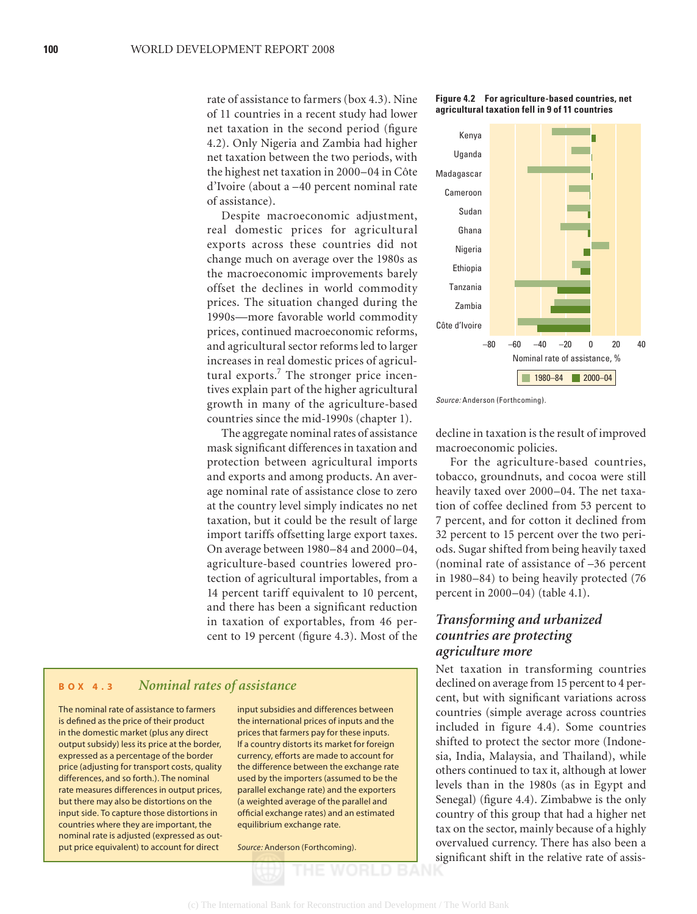rate of assistance to farmers (box 4.3). Nine of 11 countries in a recent study had lower net taxation in the second period (figure 4.2). Only Nigeria and Zambia had higher net taxation between the two periods, with the highest net taxation in 2000–04 in Côte d'Ivoire (about a –40 percent nominal rate of assistance).

Despite macroeconomic adjustment, real domestic prices for agricultural exports across these countries did not change much on average over the 1980s as the macroeconomic improvements barely offset the declines in world commodity prices. The situation changed during the 1990s—more favorable world commodity prices, continued macroeconomic reforms, and agricultural sector reforms led to larger increases in real domestic prices of agricultural exports.<sup>7</sup> The stronger price incentives explain part of the higher agricultural growth in many of the agriculture-based countries since the mid-1990s (chapter 1).

The aggregate nominal rates of assistance mask significant differences in taxation and protection between agricultural imports and exports and among products. An average nominal rate of assistance close to zero at the country level simply indicates no net taxation, but it could be the result of large import tariffs offsetting large export taxes. On average between 1980–84 and 2000–04, agriculture-based countries lowered protection of agricultural importables, from a 14 percent tariff equivalent to 10 percent, and there has been a significant reduction in taxation of exportables, from 46 percent to 19 percent (figure 4.3). Most of the

#### **BOX 4.3** *Nominal rates of assistance*

The nominal rate of assistance to farmers is defined as the price of their product in the domestic market (plus any direct output subsidy) less its price at the border, expressed as a percentage of the border price (adjusting for transport costs, quality differences, and so forth.). The nominal rate measures differences in output prices, but there may also be distortions on the input side. To capture those distortions in countries where they are important, the nominal rate is adjusted (expressed as output price equivalent) to account for direct

input subsidies and differences between the international prices of inputs and the prices that farmers pay for these inputs. If a country distorts its market for foreign currency, efforts are made to account for the difference between the exchange rate used by the importers (assumed to be the parallel exchange rate) and the exporters (a weighted average of the parallel and official exchange rates) and an estimated equilibrium exchange rate.

*Source:* Anderson (Forthcoming).

**Figure 4.2 For agriculture-based countries, net agricultural taxation fell in 9 of 11 countries**





decline in taxation is the result of improved macroeconomic policies.

For the agriculture-based countries, tobacco, groundnuts, and cocoa were still heavily taxed over 2000–04. The net taxation of coffee declined from 53 percent to 7 percent, and for cotton it declined from 32 percent to 15 percent over the two periods. Sugar shifted from being heavily taxed (nominal rate of assistance of –36 percent in 1980–84) to being heavily protected (76 percent in 2000–04) (table 4.1).

#### *Transforming and urbanized countries are protecting agriculture more*

Net taxation in transforming countries declined on average from 15 percent to 4 percent, but with significant variations across countries (simple average across countries included in figure 4.4). Some countries shifted to protect the sector more (Indonesia, India, Malaysia, and Thailand), while others continued to tax it, although at lower levels than in the 1980s (as in Egypt and Senegal) (figure 4.4). Zimbabwe is the only country of this group that had a higher net tax on the sector, mainly because of a highly overvalued currency. There has also been a  $\frac{1}{\sqrt{2}}$  significant shift in the relative rate of assis-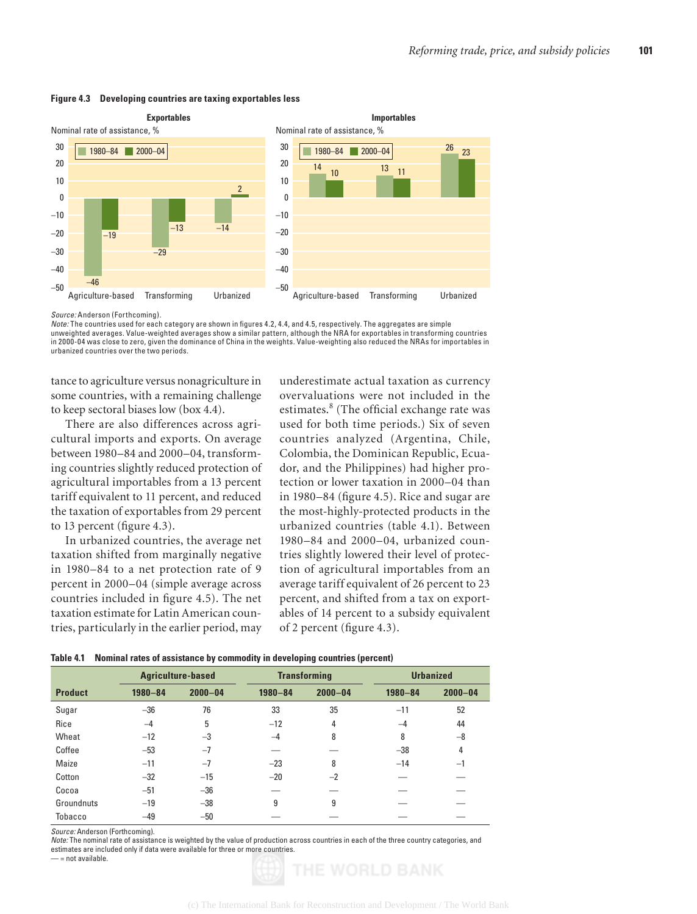

#### **Figure 4.3 Developing countries are taxing exportables less**

Source: Anderson (Forthcoming).

Note: The countries used for each category are shown in figures  $4.2, 4.4$ , and  $4.5$ , respectively. The aggregates are simple unweighted averages. Value-weighted averages show a similar pattern, although the NRA for exportables in transforming countries in 2000-04 was close to zero, given the dominance of China in the weights. Value-weighting also reduced the NRAs for importables in urbanized countries over the two periods.

tance to agriculture versus nonagriculture in some countries, with a remaining challenge to keep sectoral biases low (box 4.4).

There are also differences across agricultural imports and exports. On average between 1980–84 and 2000–04, transforming countries slightly reduced protection of agricultural importables from a 13 percent tariff equivalent to 11 percent, and reduced the taxation of exportables from 29 percent to 13 percent (figure 4.3).

In urbanized countries, the average net taxation shifted from marginally negative in 1980–84 to a net protection rate of 9 percent in 2000–04 (simple average across countries included in figure 4.5). The net taxation estimate for Latin American countries, particularly in the earlier period, may

underestimate actual taxation as currency overvaluations were not included in the estimates.<sup>8</sup> (The official exchange rate was used for both time periods.) Six of seven countries analyzed (Argentina, Chile, Colombia, the Dominican Republic, Ecuador, and the Philippines) had higher protection or lower taxation in 2000–04 than in  $1980-84$  (figure 4.5). Rice and sugar are the most-highly-protected products in the urbanized countries (table 4.1). Between 1980–84 and 2000–04, urbanized countries slightly lowered their level of protection of agricultural importables from an average tariff equivalent of 26 percent to 23 percent, and shifted from a tax on exportables of 14 percent to a subsidy equivalent of 2 percent (figure 4.3).

|  | Table 4.1 Nominal rates of assistance by commodity in developing countries (percent) |  |  |  |  |  |
|--|--------------------------------------------------------------------------------------|--|--|--|--|--|
|--|--------------------------------------------------------------------------------------|--|--|--|--|--|

|                | <b>Agriculture-based</b> |             |             | <b>Transforming</b> |             | <b>Urbanized</b> |  |
|----------------|--------------------------|-------------|-------------|---------------------|-------------|------------------|--|
| <b>Product</b> | $1980 - 84$              | $2000 - 04$ | $1980 - 84$ | $2000 - 04$         | $1980 - 84$ | $2000 - 04$      |  |
| Sugar          | $-36$                    | 76          | 33          | 35                  | $-11$       | 52               |  |
| Rice           | $-4$                     | 5           | $-12$       | 4                   | $-4$        | 44               |  |
| Wheat          | $-12$                    | $-3$        | $-4$        | 8                   | 8           | $-8$             |  |
| Coffee         | $-53$                    | $-7$        |             |                     | $-38$       | 4                |  |
| Maize          | $-11$                    | $-7$        | $-23$       | 8                   | $-14$       | $-1$             |  |
| Cotton         | $-32$                    | $-15$       | $-20$       | $-2$                |             |                  |  |
| Cocoa          | $-51$                    | $-36$       |             |                     |             |                  |  |
| Groundnuts     | $-19$                    | $-38$       | 9           | 9                   |             |                  |  |
| Tobacco        | $-49$                    | $-50$       |             |                     |             |                  |  |

Source: Anderson (Forthcoming).

Note: The nominal rate of assistance is weighted by the value of production across countries in each of the three country categories, and estimates are included only if data were available for three or more countries.

 $=$  not available

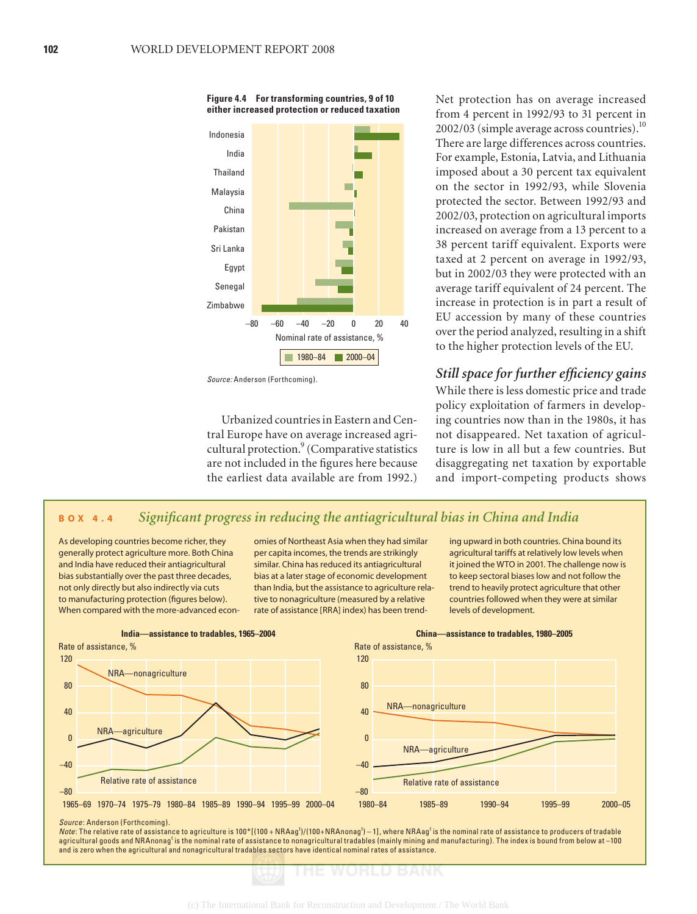

**Figure 4.4 For transforming countries, 9 of 10** 

Source: Anderson (Forthcoming).

Urbanized countries in Eastern and Central Europe have on average increased agricultural protection.<sup>9</sup> (Comparative statistics are not included in the figures here because the earliest data available are from 1992.)

Net protection has on average increased from 4 percent in 1992/93 to 31 percent in  $2002/03$  (simple average across countries).<sup>10</sup> There are large differences across countries. For example, Estonia, Latvia, and Lithuania imposed about a 30 percent tax equivalent on the sector in 1992/93, while Slovenia protected the sector. Between 1992/93 and 2002/03, protection on agricultural imports increased on average from a 13 percent to a 38 percent tariff equivalent. Exports were taxed at 2 percent on average in 1992/93, but in 2002/03 they were protected with an average tariff equivalent of 24 percent. The increase in protection is in part a result of EU accession by many of these countries over the period analyzed, resulting in a shift to the higher protection levels of the EU.

#### *Still space for further effi ciency gains*

While there is less domestic price and trade policy exploitation of farmers in developing countries now than in the 1980s, it has not disappeared. Net taxation of agriculture is low in all but a few countries. But disaggregating net taxation by exportable and import-competing products shows

#### **BOX 4.4** *Signifi cant progress in reducing the antiagricultural bias in China and India*

As developing countries become richer, they generally protect agriculture more. Both China and India have reduced their antiagricultural bias substantially over the past three decades, not only directly but also indirectly via cuts to manufacturing protection (figures below). When compared with the more-advanced econ-

omies of Northeast Asia when they had similar per capita incomes, the trends are strikingly similar. China has reduced its antiagricultural bias at a later stage of economic development than India, but the assistance to agriculture relative to nonagriculture (measured by a relative rate of assistance [RRA] index) has been trend-

ing upward in both countries. China bound its agricultural tariffs at relatively low levels when it joined the WTO in 2001. The challenge now is to keep sectoral biases low and not follow the trend to heavily protect agriculture that other countries followed when they were at similar levels of development.



#### Source: Anderson (Forthcoming).

Note: The relative rate of assistance to agriculture is 100\*[(100 + NRAag<sup>t</sup>)/(100+NRAnonag<sup>t</sup>) – 1], where NRAag<sup>t</sup> is the nominal rate of assistance to producers of tradable agricultural goods and NRAnonag<sup>t</sup> is the nominal rate of assistance to nonagricultural tradables (mainly mining and manufacturing). The index is bound from below at –100 and is zero when the agricultural and nonagricultural tradables sectors have identical nominal rates of assistance.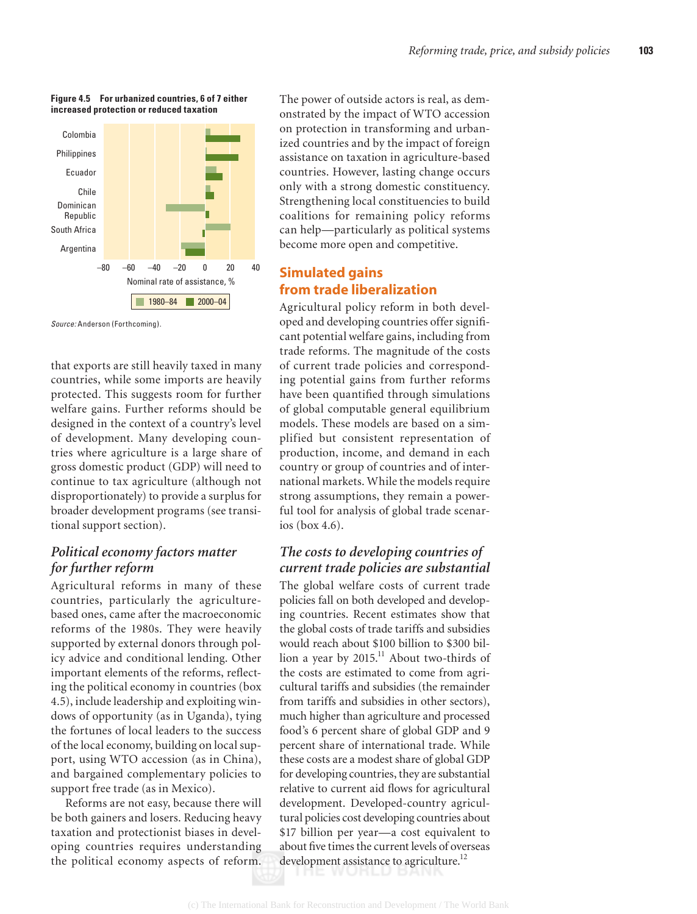–80 –60 0 20 40 –40 –20 Nominal rate of assistance, % 1980–84 2000–04 Philippines Colombia Ecuador Chile Dominican Republic South Africa Argentina

**Figure 4.5 For urbanized countries, 6 of 7 either increased protection or reduced taxation**

Source: Anderson (Forthcoming).

that exports are still heavily taxed in many countries, while some imports are heavily protected. This suggests room for further welfare gains. Further reforms should be designed in the context of a country's level of development. Many developing countries where agriculture is a large share of gross domestic product (GDP) will need to continue to tax agriculture (although not disproportionately) to provide a surplus for broader development programs (see transitional support section).

# *Political economy factors matter for further reform*

Agricultural reforms in many of these countries, particularly the agriculturebased ones, came after the macroeconomic reforms of the 1980s. They were heavily supported by external donors through policy advice and conditional lending. Other important elements of the reforms, reflecting the political economy in countries (box 4.5), include leadership and exploiting windows of opportunity (as in Uganda), tying the fortunes of local leaders to the success of the local economy, building on local support, using WTO accession (as in China), and bargained complementary policies to support free trade (as in Mexico).

Reforms are not easy, because there will be both gainers and losers. Reducing heavy taxation and protectionist biases in developing countries requires understanding the political economy aspects of reform. The power of outside actors is real, as demonstrated by the impact of WTO accession on protection in transforming and urbanized countries and by the impact of foreign assistance on taxation in agriculture-based countries. However, lasting change occurs only with a strong domestic constituency. Strengthening local constituencies to build coalitions for remaining policy reforms can help—particularly as political systems become more open and competitive.

# **Simulated gains from trade liberalization**

Agricultural policy reform in both developed and developing countries offer significant potential welfare gains, including from trade reforms. The magnitude of the costs of current trade policies and corresponding potential gains from further reforms have been quantified through simulations of global computable general equilibrium models. These models are based on a simplified but consistent representation of production, income, and demand in each country or group of countries and of international markets. While the models require strong assumptions, they remain a powerful tool for analysis of global trade scenarios (box 4.6).

# *The costs to developing countries of current trade policies are substantial*

The global welfare costs of current trade policies fall on both developed and developing countries. Recent estimates show that the global costs of trade tariffs and subsidies would reach about \$100 billion to \$300 billion a year by 2015.<sup>11</sup> About two-thirds of the costs are estimated to come from agricultural tariffs and subsidies (the remainder from tariffs and subsidies in other sectors), much higher than agriculture and processed food's 6 percent share of global GDP and 9 percent share of international trade. While these costs are a modest share of global GDP for developing countries, they are substantial relative to current aid flows for agricultural development. Developed-country agricultural policies cost developing countries about \$17 billion per year—a cost equivalent to about five times the current levels of overseas development assistance to agriculture.<sup>12</sup>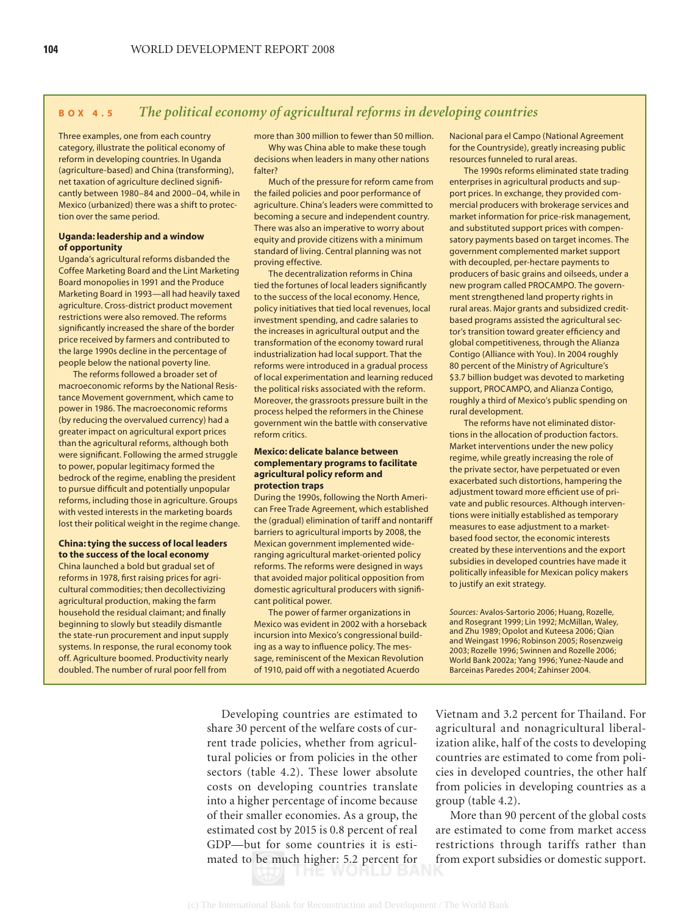# **BOX 4.5** *The political economy of agricultural reforms in developing countries*

Three examples, one from each country category, illustrate the political economy of reform in developing countries. In Uganda (agriculture-based) and China (transforming), net taxation of agriculture declined significantly between 1980–84 and 2000–04, while in Mexico (urbanized) there was a shift to protection over the same period.

#### **Uganda: leadership and a window of opportunity**

Uganda's agricultural reforms disbanded the Coffee Marketing Board and the Lint Marketing Board monopolies in 1991 and the Produce Marketing Board in 1993—all had heavily taxed agriculture. Cross-district product movement restrictions were also removed. The reforms significantly increased the share of the border price received by farmers and contributed to the large 1990s decline in the percentage of people below the national poverty line.

The reforms followed a broader set of macroeconomic reforms by the National Resistance Movement government, which came to power in 1986. The macroeconomic reforms (by reducing the overvalued currency) had a greater impact on agricultural export prices than the agricultural reforms, although both were significant. Following the armed struggle to power, popular legitimacy formed the bedrock of the regime, enabling the president to pursue difficult and potentially unpopular reforms, including those in agriculture. Groups with vested interests in the marketing boards lost their political weight in the regime change.

#### **China: tying the success of local leaders to the success of the local economy**

China launched a bold but gradual set of reforms in 1978, first raising prices for agricultural commodities; then decollectivizing agricultural production, making the farm household the residual claimant; and finally beginning to slowly but steadily dismantle the state-run procurement and input supply systems. In response, the rural economy took off. Agriculture boomed. Productivity nearly doubled. The number of rural poor fell from

more than 300 million to fewer than 50 million. Why was China able to make these tough decisions when leaders in many other nations falter?

Much of the pressure for reform came from the failed policies and poor performance of agriculture. China's leaders were committed to becoming a secure and independent country. There was also an imperative to worry about equity and provide citizens with a minimum standard of living. Central planning was not proving effective.

The decentralization reforms in China tied the fortunes of local leaders significantly to the success of the local economy. Hence, policy initiatives that tied local revenues, local investment spending, and cadre salaries to the increases in agricultural output and the transformation of the economy toward rural industrialization had local support. That the reforms were introduced in a gradual process of local experimentation and learning reduced the political risks associated with the reform. Moreover, the grassroots pressure built in the process helped the reformers in the Chinese government win the battle with conservative reform critics.

#### **Mexico: delicate balance between complementary programs to facilitate agricultural policy reform and protection traps**

During the 1990s, following the North American Free Trade Agreement, which established the (gradual) elimination of tariff and nontariff barriers to agricultural imports by 2008, the Mexican government implemented wideranging agricultural market-oriented policy reforms. The reforms were designed in ways that avoided major political opposition from domestic agricultural producers with significant political power.

The power of farmer organizations in Mexico was evident in 2002 with a horseback incursion into Mexico's congressional building as a way to influence policy. The message, reminiscent of the Mexican Revolution of 1910, paid off with a negotiated Acuerdo

Nacional para el Campo (National Agreement for the Countryside), greatly increasing public resources funneled to rural areas.

The 1990s reforms eliminated state trading enterprises in agricultural products and support prices. In exchange, they provided commercial producers with brokerage services and market information for price-risk management, and substituted support prices with compensatory payments based on target incomes. The government complemented market support with decoupled, per-hectare payments to producers of basic grains and oilseeds, under a new program called PROCAMPO. The government strengthened land property rights in rural areas. Major grants and subsidized creditbased programs assisted the agricultural sector's transition toward greater efficiency and global competitiveness, through the Alianza Contigo (Alliance with You). In 2004 roughly 80 percent of the Ministry of Agriculture's \$3.7 billion budget was devoted to marketing support, PROCAMPO, and Alianza Contigo, roughly a third of Mexico's public spending on rural development.

The reforms have not eliminated distortions in the allocation of production factors. Market interventions under the new policy regime, while greatly increasing the role of the private sector, have perpetuated or even exacerbated such distortions, hampering the adjustment toward more efficient use of private and public resources. Although interventions were initially established as temporary measures to ease adjustment to a marketbased food sector, the economic interests created by these interventions and the export subsidies in developed countries have made it politically infeasible for Mexican policy makers to justify an exit strategy.

*Sources:* Avalos-Sartorio 2006; Huang, Rozelle, and Rosegrant 1999; Lin 1992; McMillan, Waley, and Zhu 1989; Opolot and Kuteesa 2006; Qian and Weingast 1996; Robinson 2005; Rosenzweig 2003; Rozelle 1996; Swinnen and Rozelle 2006; World Bank 2002a; Yang 1996; Yunez-Naude and Barceinas Paredes 2004; Zahinser 2004.

Developing countries are estimated to share 30 percent of the welfare costs of current trade policies, whether from agricultural policies or from policies in the other sectors (table 4.2). These lower absolute costs on developing countries translate into a higher percentage of income because of their smaller economies. As a group, the estimated cost by 2015 is 0.8 percent of real GDP—but for some countries it is estimated to be much higher: 5.2 percent for Vietnam and 3.2 percent for Thailand. For agricultural and nonagricultural liberalization alike, half of the costs to developing countries are estimated to come from policies in developed countries, the other half from policies in developing countries as a group (table 4.2).

More than 90 percent of the global costs are estimated to come from market access restrictions through tariffs rather than from export subsidies or domestic support.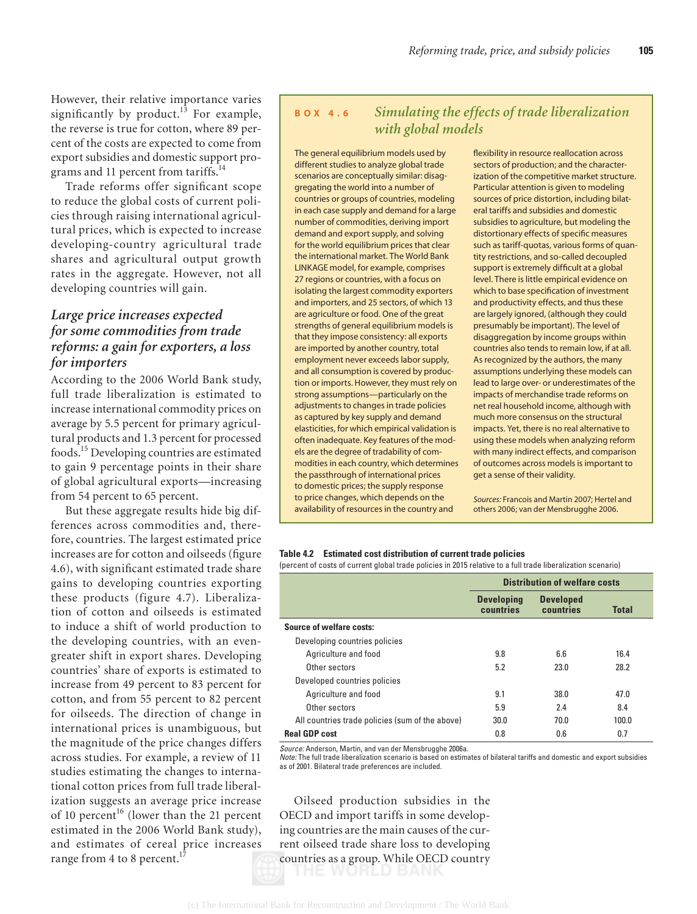However, their relative importance varies significantly by product.<sup>13</sup> For example, the reverse is true for cotton, where 89 percent of the costs are expected to come from export subsidies and domestic support programs and 11 percent from tariffs.<sup>14</sup>

Trade reforms offer significant scope to reduce the global costs of current policies through raising international agricultural prices, which is expected to increase developing-country agricultural trade shares and agricultural output growth rates in the aggregate. However, not all developing countries will gain.

#### *Large price increases expected for some commodities from trade reforms: a gain for exporters, a loss for importers*

According to the 2006 World Bank study, full trade liberalization is estimated to increase international commodity prices on average by 5.5 percent for primary agricultural products and 1.3 percent for processed foods.15 Developing countries are estimated to gain 9 percentage points in their share of global agricultural exports—increasing from 54 percent to 65 percent.

But these aggregate results hide big differences across commodities and, therefore, countries. The largest estimated price increases are for cotton and oilseeds (figure 4.6), with significant estimated trade share gains to developing countries exporting these products (figure 4.7). Liberalization of cotton and oilseeds is estimated to induce a shift of world production to the developing countries, with an evengreater shift in export shares. Developing countries' share of exports is estimated to increase from 49 percent to 83 percent for cotton, and from 55 percent to 82 percent for oilseeds. The direction of change in international prices is unambiguous, but the magnitude of the price changes differs across studies. For example, a review of 11 studies estimating the changes to international cotton prices from full trade liberalization suggests an average price increase of 10 percent<sup>16</sup> (lower than the 21 percent estimated in the 2006 World Bank study), and estimates of cereal price increases range from 4 to 8 percent.<sup>17</sup>

#### **BOX 4.6** *Simulating the effects of trade liberalization with global models*

The general equilibrium models used by different studies to analyze global trade scenarios are conceptually similar: disaggregating the world into a number of countries or groups of countries, modeling in each case supply and demand for a large number of commodities, deriving import demand and export supply, and solving for the world equilibrium prices that clear the international market. The World Bank LINKAGE model, for example, comprises 27 regions or countries, with a focus on isolating the largest commodity exporters and importers, and 25 sectors, of which 13 are agriculture or food. One of the great strengths of general equilibrium models is that they impose consistency: all exports are imported by another country, total employment never exceeds labor supply, and all consumption is covered by production or imports. However, they must rely on strong assumptions—particularly on the adjustments to changes in trade policies as captured by key supply and demand elasticities, for which empirical validation is often inadequate. Key features of the models are the degree of tradability of commodities in each country, which determines the passthrough of international prices to domestic prices; the supply response to price changes, which depends on the availability of resources in the country and

flexibility in resource reallocation across sectors of production; and the characterization of the competitive market structure. Particular attention is given to modeling sources of price distortion, including bilateral tariffs and subsidies and domestic subsidies to agriculture, but modeling the distortionary effects of specific measures such as tariff-quotas, various forms of quantity restrictions, and so-called decoupled support is extremely difficult at a global level. There is little empirical evidence on which to base specification of investment and productivity effects, and thus these are largely ignored, (although they could presumably be important). The level of disaggregation by income groups within countries also tends to remain low, if at all. As recognized by the authors, the many assumptions underlying these models can lead to large over- or underestimates of the impacts of merchandise trade reforms on net real household income, although with much more consensus on the structural impacts. Yet, there is no real alternative to using these models when analyzing reform with many indirect effects, and comparison of outcomes across models is important to get a sense of their validity.

*Sources:* Francois and Martin 2007; Hertel and others 2006; van der Mensbrugghe 2006.

#### **Table 4.2 Estimated cost distribution of current trade policies**

(percent of costs of current global trade policies in 2015 relative to a full trade liberalization scenario)

|                                                 | <b>Distribution of welfare costs</b> |                               |              |  |
|-------------------------------------------------|--------------------------------------|-------------------------------|--------------|--|
|                                                 | <b>Developing</b><br>countries       | <b>Developed</b><br>countries | <b>Total</b> |  |
| Source of welfare costs:                        |                                      |                               |              |  |
| Developing countries policies                   |                                      |                               |              |  |
| Agriculture and food                            | 9.8                                  | 6.6                           | 16.4         |  |
| Other sectors                                   | 5.2                                  | 23.0                          | 28.2         |  |
| Developed countries policies                    |                                      |                               |              |  |
| Agriculture and food                            | 9.1                                  | 38.0                          | 47.0         |  |
| Other sectors                                   | 5.9                                  | 2.4                           | 8.4          |  |
| All countries trade policies (sum of the above) | 30.0                                 | 70.0                          | 100.0        |  |
| <b>Real GDP cost</b>                            | 0.8                                  | 0.6                           | 0.7          |  |

Source: Anderson, Martin, and van der Mensbrugghe 2006a.

Note: The full trade liberalization scenario is based on estimates of bilateral tariffs and domestic and export subsidies as of 2001. Bilateral trade preferences are included.

Oilseed production subsidies in the OECD and import tariffs in some developing countries are the main causes of the current oilseed trade share loss to developing countries as a group. While OECD country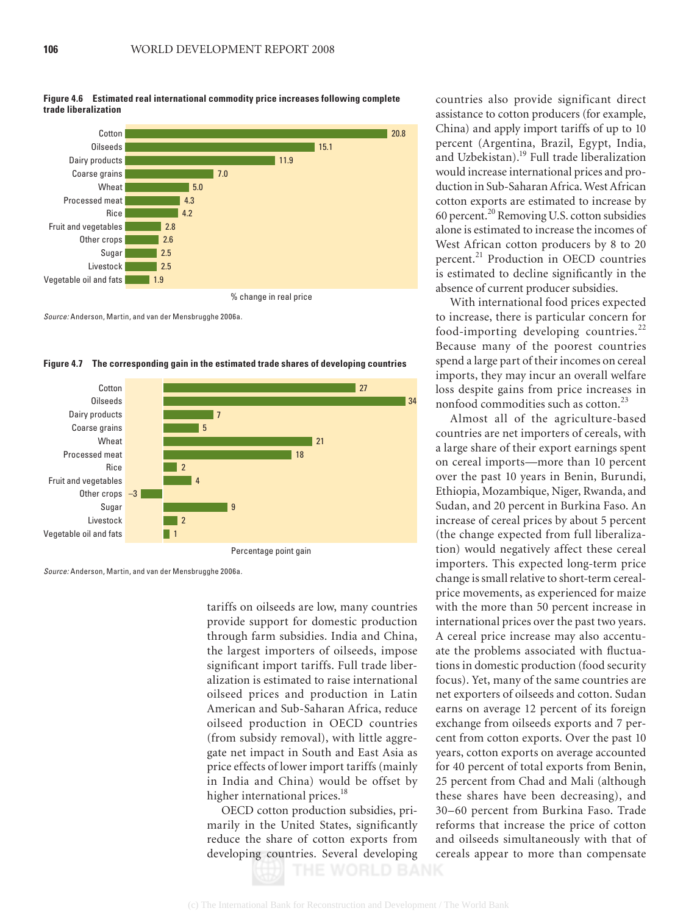

**Figure 4.6 Estimated real international commodity price increases following complete trade liberalization**

Source: Anderson, Martin, and van der Mensbrugghe 2006a.



**Figure 4.7 The corresponding gain in the estimated trade shares of developing countries**

Source: Anderson, Martin, and van der Mensbrugghe 2006a.

tariffs on oilseeds are low, many countries provide support for domestic production through farm subsidies. India and China, the largest importers of oilseeds, impose significant import tariffs. Full trade liberalization is estimated to raise international oilseed prices and production in Latin American and Sub-Saharan Africa, reduce oilseed production in OECD countries (from subsidy removal), with little aggregate net impact in South and East Asia as price effects of lower import tariffs (mainly in India and China) would be offset by higher international prices.<sup>18</sup>

OECD cotton production subsidies, primarily in the United States, significantly reduce the share of cotton exports from developing countries. Several developing countries also provide significant direct assistance to cotton producers (for example, China) and apply import tariffs of up to 10 percent (Argentina, Brazil, Egypt, India, and Uzbekistan).<sup>19</sup> Full trade liberalization would increase international prices and production in Sub-Saharan Africa. West African cotton exports are estimated to increase by 60 percent.20 Removing U.S. cotton subsidies alone is estimated to increase the incomes of West African cotton producers by 8 to 20 percent.<sup>21</sup> Production in OECD countries is estimated to decline significantly in the absence of current producer subsidies.

With international food prices expected to increase, there is particular concern for food-importing developing countries. $^{22}$ Because many of the poorest countries spend a large part of their incomes on cereal imports, they may incur an overall welfare loss despite gains from price increases in nonfood commodities such as cotton.<sup>23</sup>

Almost all of the agriculture-based countries are net importers of cereals, with a large share of their export earnings spent on cereal imports—more than 10 percent over the past 10 years in Benin, Burundi, Ethiopia, Mozambique, Niger, Rwanda, and Sudan, and 20 percent in Burkina Faso. An increase of cereal prices by about 5 percent (the change expected from full liberalization) would negatively affect these cereal importers. This expected long-term price change is small relative to short-term cerealprice movements, as experienced for maize with the more than 50 percent increase in international prices over the past two years. A cereal price increase may also accentuate the problems associated with fluctuations in domestic production (food security focus). Yet, many of the same countries are net exporters of oilseeds and cotton. Sudan earns on average 12 percent of its foreign exchange from oilseeds exports and 7 percent from cotton exports. Over the past 10 years, cotton exports on average accounted for 40 percent of total exports from Benin, 25 percent from Chad and Mali (although these shares have been decreasing), and 30–60 percent from Burkina Faso. Trade reforms that increase the price of cotton and oilseeds simultaneously with that of cereals appear to more than compensate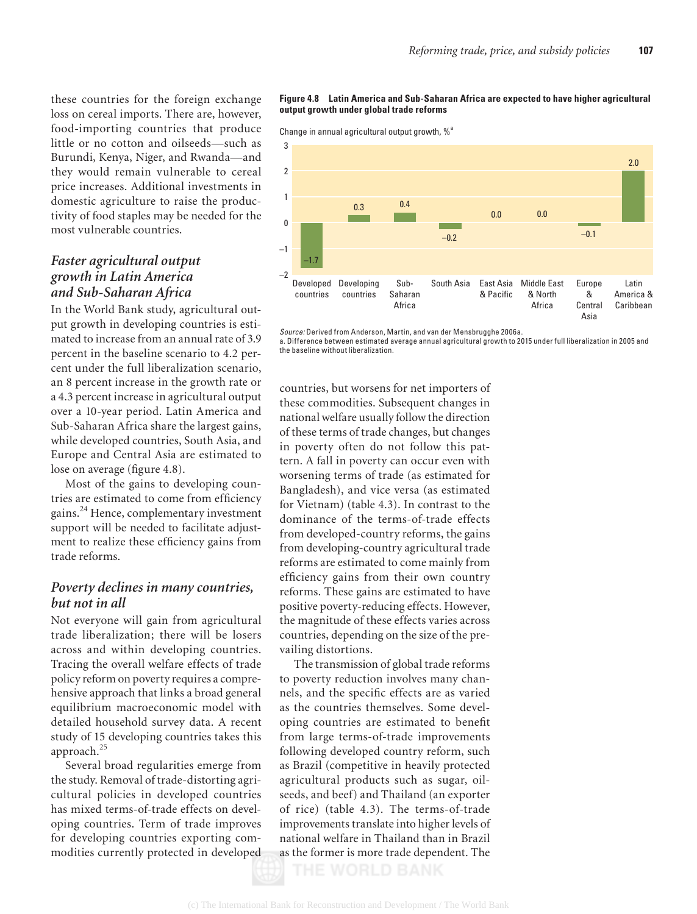these countries for the foreign exchange loss on cereal imports. There are, however, food-importing countries that produce little or no cotton and oilseeds—such as Burundi, Kenya, Niger, and Rwanda—and they would remain vulnerable to cereal price increases. Additional investments in domestic agriculture to raise the productivity of food staples may be needed for the most vulnerable countries.

#### *Faster agricultural output growth in Latin America and Sub-Saharan Africa*

In the World Bank study, agricultural output growth in developing countries is estimated to increase from an annual rate of 3.9 percent in the baseline scenario to 4.2 percent under the full liberalization scenario, an 8 percent increase in the growth rate or a 4.3 percent increase in agricultural output over a 10-year period. Latin America and Sub-Saharan Africa share the largest gains, while developed countries, South Asia, and Europe and Central Asia are estimated to lose on average (figure 4.8).

Most of the gains to developing countries are estimated to come from efficiency gains.<sup>24</sup> Hence, complementary investment support will be needed to facilitate adjustment to realize these efficiency gains from trade reforms.

#### *Poverty declines in many countries, but not in all*

Not everyone will gain from agricultural trade liberalization; there will be losers across and within developing countries. Tracing the overall welfare effects of trade policy reform on poverty requires a comprehensive approach that links a broad general equilibrium macroeconomic model with detailed household survey data. A recent study of 15 developing countries takes this approach.<sup>25</sup>

Several broad regularities emerge from the study. Removal of trade-distorting agricultural policies in developed countries has mixed terms-of-trade effects on developing countries. Term of trade improves for developing countries exporting commodities currently protected in developed

#### **Figure 4.8 Latin America and Sub-Saharan Africa are expected to have higher agricultural output growth under global trade reforms**

Change in annual agricultural output growth,  $\%^a$ 



Source: Derived from Anderson, Martin, and van der Mensbrugghe 2006a.

countries, but worsens for net importers of these commodities. Subsequent changes in national welfare usually follow the direction of these terms of trade changes, but changes in poverty often do not follow this pattern. A fall in poverty can occur even with worsening terms of trade (as estimated for Bangladesh), and vice versa (as estimated for Vietnam) (table 4.3). In contrast to the dominance of the terms-of-trade effects from developed-country reforms, the gains from developing-country agricultural trade reforms are estimated to come mainly from efficiency gains from their own country reforms. These gains are estimated to have positive poverty-reducing effects. However, the magnitude of these effects varies across countries, depending on the size of the prevailing distortions.

The transmission of global trade reforms to poverty reduction involves many channels, and the specific effects are as varied as the countries themselves. Some developing countries are estimated to benefit from large terms-of-trade improvements following developed country reform, such as Brazil (competitive in heavily protected agricultural products such as sugar, oilseeds, and beef) and Thailand (an exporter of rice) (table 4.3). The terms-of-trade improvements translate into higher levels of national welfare in Thailand than in Brazil as the former is more trade dependent. The



a. Difference between estimated average annual agricultural growth to 2015 under full liberalization in 2005 and the baseline without liberalization.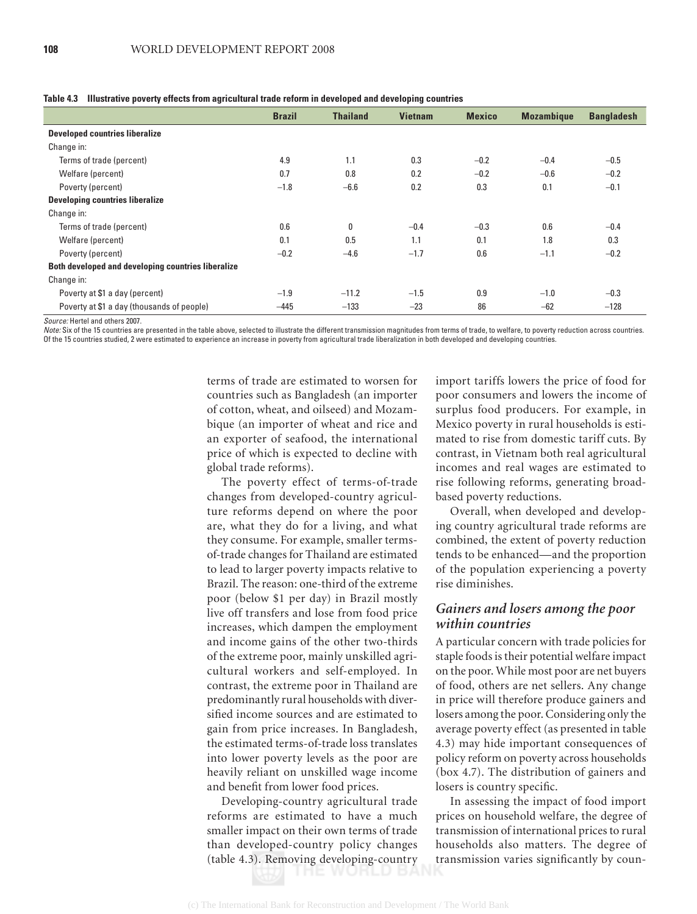|                                                    | <b>Brazil</b> | <b>Thailand</b> | <b>Vietnam</b> | <b>Mexico</b> | <b>Mozambique</b> | <b>Bangladesh</b> |
|----------------------------------------------------|---------------|-----------------|----------------|---------------|-------------------|-------------------|
| <b>Developed countries liberalize</b>              |               |                 |                |               |                   |                   |
| Change in:                                         |               |                 |                |               |                   |                   |
| Terms of trade (percent)                           | 4.9           | 1.1             | 0.3            | $-0.2$        | $-0.4$            | $-0.5$            |
| Welfare (percent)                                  | 0.7           | 0.8             | 0.2            | $-0.2$        | $-0.6$            | $-0.2$            |
| Poverty (percent)                                  | $-1.8$        | $-6.6$          | 0.2            | 0.3           | 0.1               | $-0.1$            |
| <b>Developing countries liberalize</b>             |               |                 |                |               |                   |                   |
| Change in:                                         |               |                 |                |               |                   |                   |
| Terms of trade (percent)                           | 0.6           | 0               | $-0.4$         | $-0.3$        | 0.6               | $-0.4$            |
| Welfare (percent)                                  | 0.1           | 0.5             | 1.1            | 0.1           | 1.8               | 0.3               |
| Poverty (percent)                                  | $-0.2$        | $-4.6$          | $-1.7$         | 0.6           | $-1.1$            | $-0.2$            |
| Both developed and developing countries liberalize |               |                 |                |               |                   |                   |
| Change in:                                         |               |                 |                |               |                   |                   |
| Poverty at \$1 a day (percent)                     | $-1.9$        | $-11.2$         | $-1.5$         | 0.9           | $-1.0$            | $-0.3$            |
| Poverty at \$1 a day (thousands of people)         | $-445$        | $-133$          | $-23$          | 86            | $-62$             | $-128$            |

**Table 4.3 Illustrative poverty effects from agricultural trade reform in developed and developing countries**

Source: Hertel and others 2007.

Note: Six of the 15 countries are presented in the table above, selected to illustrate the different transmission magnitudes from terms of trade, to welfare, to poverty reduction across countries. Of the 15 countries studied, 2 were estimated to experience an increase in poverty from agricultural trade liberalization in both developed and developing countries.

> terms of trade are estimated to worsen for countries such as Bangladesh (an importer of cotton, wheat, and oilseed) and Mozambique (an importer of wheat and rice and an exporter of seafood, the international price of which is expected to decline with global trade reforms).

> The poverty effect of terms-of-trade changes from developed-country agriculture reforms depend on where the poor are, what they do for a living, and what they consume. For example, smaller termsof-trade changes for Thailand are estimated to lead to larger poverty impacts relative to Brazil. The reason: one-third of the extreme poor (below \$1 per day) in Brazil mostly live off transfers and lose from food price increases, which dampen the employment and income gains of the other two-thirds of the extreme poor, mainly unskilled agricultural workers and self-employed. In contrast, the extreme poor in Thailand are predominantly rural households with diversified income sources and are estimated to gain from price increases. In Bangladesh, the estimated terms-of-trade loss translates into lower poverty levels as the poor are heavily reliant on unskilled wage income and benefit from lower food prices.

> Developing-country agricultural trade reforms are estimated to have a much smaller impact on their own terms of trade than developed-country policy changes (table 4.3). Removing developing-country

import tariffs lowers the price of food for poor consumers and lowers the income of surplus food producers. For example, in Mexico poverty in rural households is estimated to rise from domestic tariff cuts. By contrast, in Vietnam both real agricultural incomes and real wages are estimated to rise following reforms, generating broadbased poverty reductions.

Overall, when developed and developing country agricultural trade reforms are combined, the extent of poverty reduction tends to be enhanced—and the proportion of the population experiencing a poverty rise diminishes.

#### *Gainers and losers among the poor within countries*

A particular concern with trade policies for staple foods is their potential welfare impact on the poor. While most poor are net buyers of food, others are net sellers. Any change in price will therefore produce gainers and losers among the poor. Considering only the average poverty effect (as presented in table 4.3) may hide important consequences of policy reform on poverty across households (box 4.7). The distribution of gainers and losers is country specific.

In assessing the impact of food import prices on household welfare, the degree of transmission of international prices to rural households also matters. The degree of transmission varies significantly by coun-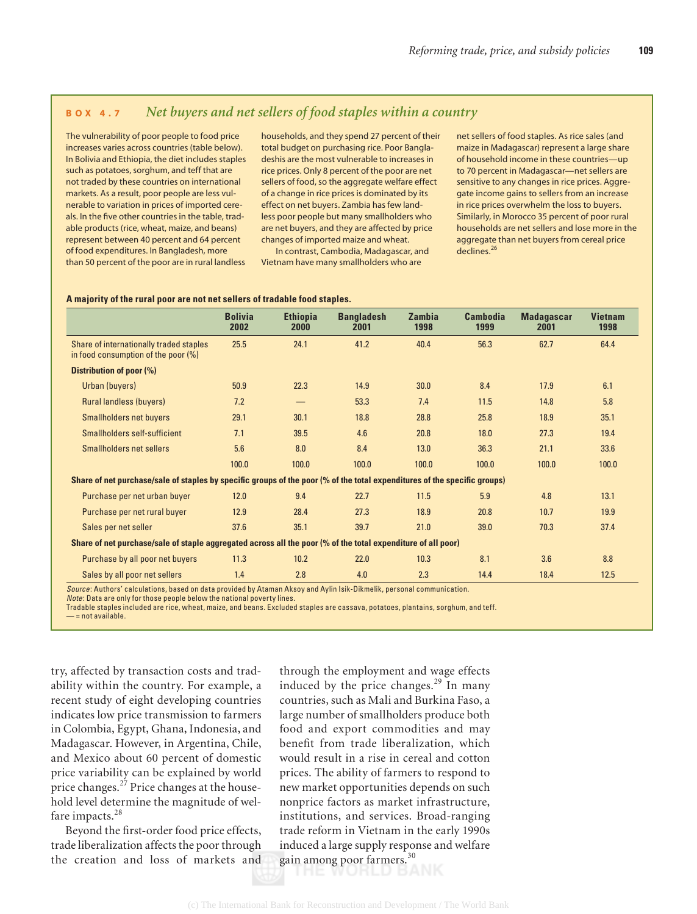# **BOX 4.7** *Net buyers and net sellers of food staples within a country*

The vulnerability of poor people to food price increases varies across countries (table below). In Bolivia and Ethiopia, the diet includes staples such as potatoes, sorghum, and teff that are not traded by these countries on international markets. As a result, poor people are less vulnerable to variation in prices of imported cereals. In the five other countries in the table, tradable products (rice, wheat, maize, and beans) represent between 40 percent and 64 percent of food expenditures. In Bangladesh, more than 50 percent of the poor are in rural landless households, and they spend 27 percent of their total budget on purchasing rice. Poor Bangladeshis are the most vulnerable to increases in rice prices. Only 8 percent of the poor are net sellers of food, so the aggregate welfare effect of a change in rice prices is dominated by its effect on net buyers. Zambia has few landless poor people but many smallholders who are net buyers, and they are affected by price changes of imported maize and wheat.

In contrast, Cambodia, Madagascar, and Vietnam have many smallholders who are

net sellers of food staples. As rice sales (and maize in Madagascar) represent a large share of household income in these countries—up to 70 percent in Madagascar—net sellers are sensitive to any changes in rice prices. Aggregate income gains to sellers from an increase in rice prices overwhelm the loss to buyers. Similarly, in Morocco 35 percent of poor rural households are net sellers and lose more in the aggregate than net buyers from cereal price declines.<sup>26</sup>

#### **A majority of the rural poor are not net sellers of tradable food staples.**

|                                                                                                                           | <b>Bolivia</b><br>2002 | <b>Ethiopia</b><br>2000 | <b>Bangladesh</b><br>2001 | Zambia<br>1998 | <b>Cambodia</b><br>1999 | <b>Madagascar</b><br>2001 | <b>Vietnam</b><br>1998 |  |
|---------------------------------------------------------------------------------------------------------------------------|------------------------|-------------------------|---------------------------|----------------|-------------------------|---------------------------|------------------------|--|
| Share of internationally traded staples<br>in food consumption of the poor $(\%)$                                         | 25.5                   | 24.1                    | 41.2                      | 40.4           | 56.3                    | 62.7                      | 64.4                   |  |
| <b>Distribution of poor (%)</b>                                                                                           |                        |                         |                           |                |                         |                           |                        |  |
| Urban (buyers)                                                                                                            | 50.9                   | 22.3                    | 14.9                      | 30.0           | 8.4                     | 17.9                      | 6.1                    |  |
| <b>Rural landless (buyers)</b>                                                                                            | 7.2                    |                         | 53.3                      | 7.4            | 11.5                    | 14.8                      | 5.8                    |  |
| <b>Smallholders net buyers</b>                                                                                            | 29.1                   | 30.1                    | 18.8                      | 28.8           | 25.8                    | 18.9                      | 35.1                   |  |
| Smallholders self-sufficient                                                                                              | 7.1                    | 39.5                    | 4.6                       | 20.8           | 18.0                    | 27.3                      | 19.4                   |  |
| <b>Smallholders net sellers</b>                                                                                           | 5.6                    | 8.0                     | 8.4                       | 13.0           | 36.3                    | 21.1                      | 33.6                   |  |
|                                                                                                                           | 100.0                  | 100.0                   | 100.0                     | 100.0          | 100.0                   | 100.0                     | 100.0                  |  |
| Share of net purchase/sale of staples by specific groups of the poor (% of the total expenditures of the specific groups) |                        |                         |                           |                |                         |                           |                        |  |
| Purchase per net urban buyer                                                                                              | 12.0                   | 9.4                     | 22.7                      | 11.5           | 5.9                     | 4.8                       | 13.1                   |  |
| Purchase per net rural buyer                                                                                              | 12.9                   | 28.4                    | 27.3                      | 18.9           | 20.8                    | 10.7                      | 19.9                   |  |
| Sales per net seller                                                                                                      | 37.6                   | 35.1                    | 39.7                      | 21.0           | 39.0                    | 70.3                      | 37.4                   |  |
| Share of net purchase/sale of staple aggregated across all the poor (% of the total expenditure of all poor)              |                        |                         |                           |                |                         |                           |                        |  |
| Purchase by all poor net buyers                                                                                           | 11.3                   | 10.2                    | 22.0                      | 10.3           | 8.1                     | 3.6                       | 8.8                    |  |
| Sales by all poor net sellers                                                                                             | 1.4                    | 2.8                     | 4.0                       | 2.3            | 14.4                    | 18.4                      | 12.5                   |  |

Source: Authors' calculations, based on data provided by Ataman Aksoy and Aylin Isik-Dikmelik, personal communication.

Note: Data are only for those people below the national poverty lines.

Tradable staples included are rice, wheat, maize, and beans. Excluded staples are cassava, potatoes, plantains, sorghum, and teff. — = not available.

try, affected by transaction costs and tradability within the country. For example, a recent study of eight developing countries indicates low price transmission to farmers in Colombia, Egypt, Ghana, Indonesia, and Madagascar. However, in Argentina, Chile, and Mexico about 60 percent of domestic price variability can be explained by world price changes.<sup>27</sup> Price changes at the household level determine the magnitude of welfare impacts.<sup>28</sup>

Beyond the first-order food price effects, trade liberalization affects the poor through the creation and loss of markets and through the employment and wage effects induced by the price changes.<sup>29</sup> In many countries, such as Mali and Burkina Faso, a large number of smallholders produce both food and export commodities and may benefit from trade liberalization, which would result in a rise in cereal and cotton prices. The ability of farmers to respond to new market opportunities depends on such nonprice factors as market infrastructure, institutions, and services. Broad-ranging trade reform in Vietnam in the early 1990s induced a large supply response and welfare

gain among poor farmers.<sup>30</sup>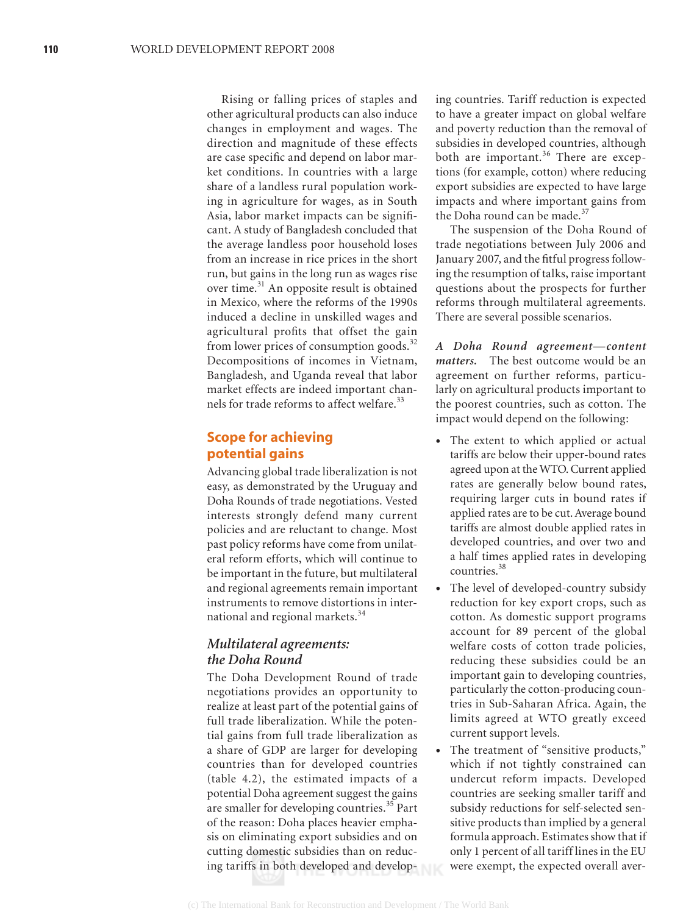Rising or falling prices of staples and other agricultural products can also induce changes in employment and wages. The direction and magnitude of these effects are case specific and depend on labor market conditions. In countries with a large share of a landless rural population working in agriculture for wages, as in South Asia, labor market impacts can be significant. A study of Bangladesh concluded that the average landless poor household loses from an increase in rice prices in the short run, but gains in the long run as wages rise over time.<sup>31</sup> An opposite result is obtained in Mexico, where the reforms of the 1990s induced a decline in unskilled wages and agricultural profits that offset the gain from lower prices of consumption goods. $32$ Decompositions of incomes in Vietnam, Bangladesh, and Uganda reveal that labor market effects are indeed important channels for trade reforms to affect welfare.<sup>33</sup>

# **Scope for achieving potential gains**

Advancing global trade liberalization is not easy, as demonstrated by the Uruguay and Doha Rounds of trade negotiations. Vested interests strongly defend many current policies and are reluctant to change. Most past policy reforms have come from unilateral reform efforts, which will continue to be important in the future, but multilateral and regional agreements remain important instruments to remove distortions in international and regional markets.<sup>34</sup>

# *Multilateral agreements: the Doha Round*

The Doha Development Round of trade negotiations provides an opportunity to realize at least part of the potential gains of full trade liberalization. While the potential gains from full trade liberalization as a share of GDP are larger for developing countries than for developed countries (table 4.2), the estimated impacts of a potential Doha agreement suggest the gains are smaller for developing countries.<sup>35</sup> Part of the reason: Doha places heavier emphasis on eliminating export subsidies and on cutting domestic subsidies than on reducing tariffs in both developed and developing countries. Tariff reduction is expected to have a greater impact on global welfare and poverty reduction than the removal of subsidies in developed countries, although both are important.<sup>36</sup> There are exceptions (for example, cotton) where reducing export subsidies are expected to have large impacts and where important gains from the Doha round can be made. $37$ 

The suspension of the Doha Round of trade negotiations between July 2006 and January 2007, and the fitful progress following the resumption of talks, raise important questions about the prospects for further reforms through multilateral agreements. There are several possible scenarios.

*A Doha Round agreement—content matters.* The best outcome would be an agreement on further reforms, particularly on agricultural products important to the poorest countries, such as cotton. The impact would depend on the following:

- The extent to which applied or actual tariffs are below their upper-bound rates agreed upon at the WTO. Current applied rates are generally below bound rates, requiring larger cuts in bound rates if applied rates are to be cut. Average bound tariffs are almost double applied rates in developed countries, and over two and a half times applied rates in developing countries.38
- The level of developed-country subsidy reduction for key export crops, such as cotton. As domestic support programs account for 89 percent of the global welfare costs of cotton trade policies, reducing these subsidies could be an important gain to developing countries, particularly the cotton-producing countries in Sub-Saharan Africa. Again, the limits agreed at WTO greatly exceed current support levels.
- The treatment of "sensitive products," which if not tightly constrained can undercut reform impacts. Developed countries are seeking smaller tariff and subsidy reductions for self-selected sensitive products than implied by a general formula approach. Estimates show that if only 1 percent of all tariff lines in the EU were exempt, the expected overall aver-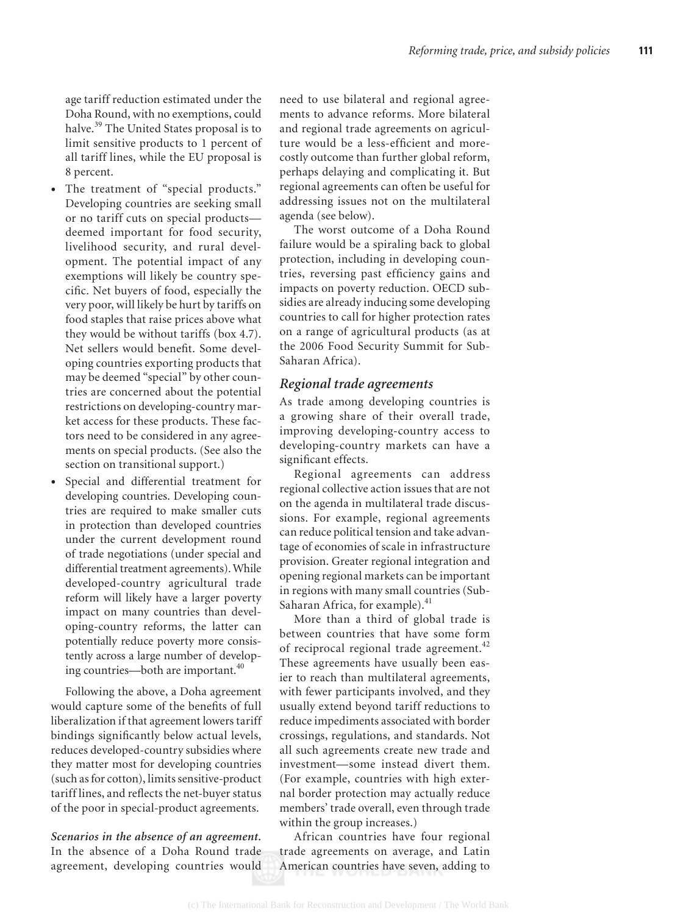age tariff reduction estimated under the Doha Round, with no exemptions, could halve.<sup>39</sup> The United States proposal is to limit sensitive products to 1 percent of all tariff lines, while the EU proposal is 8 percent.

- The treatment of "special products." Developing countries are seeking small or no tariff cuts on special products deemed important for food security, livelihood security, and rural development. The potential impact of any exemptions will likely be country specific. Net buyers of food, especially the very poor, will likely be hurt by tariffs on food staples that raise prices above what they would be without tariffs (box 4.7). Net sellers would benefit. Some developing countries exporting products that may be deemed "special" by other countries are concerned about the potential restrictions on developing-country market access for these products. These factors need to be considered in any agreements on special products. (See also the section on transitional support.)
- Special and differential treatment for developing countries. Developing countries are required to make smaller cuts in protection than developed countries under the current development round of trade negotiations (under special and differential treatment agreements). While developed-country agricultural trade reform will likely have a larger poverty impact on many countries than developing-country reforms, the latter can potentially reduce poverty more consistently across a large number of developing countries—both are important.<sup>40</sup>

Following the above, a Doha agreement would capture some of the benefits of full liberalization if that agreement lowers tariff bindings significantly below actual levels, reduces developed-country subsidies where they matter most for developing countries (such as for cotton), limits sensitive-product tariff lines, and reflects the net-buyer status of the poor in special-product agreements.

*Scenarios in the absence of an agreement.*  In the absence of a Doha Round trade agreement, developing countries would need to use bilateral and regional agreements to advance reforms. More bilateral and regional trade agreements on agriculture would be a less-efficient and morecostly outcome than further global reform, perhaps delaying and complicating it. But regional agreements can often be useful for addressing issues not on the multilateral agenda (see below).

The worst outcome of a Doha Round failure would be a spiraling back to global protection, including in developing countries, reversing past efficiency gains and impacts on poverty reduction. OECD subsidies are already inducing some developing countries to call for higher protection rates on a range of agricultural products (as at the 2006 Food Security Summit for Sub-Saharan Africa).

#### *Regional trade agreements*

As trade among developing countries is a growing share of their overall trade, improving developing-country access to developing-country markets can have a significant effects.

Regional agreements can address regional collective action issues that are not on the agenda in multilateral trade discussions. For example, regional agreements can reduce political tension and take advantage of economies of scale in infrastructure provision. Greater regional integration and opening regional markets can be important in regions with many small countries (Sub-Saharan Africa, for example).<sup>41</sup>

More than a third of global trade is between countries that have some form of reciprocal regional trade agreement.<sup>42</sup> These agreements have usually been easier to reach than multilateral agreements, with fewer participants involved, and they usually extend beyond tariff reductions to reduce impediments associated with border crossings, regulations, and standards. Not all such agreements create new trade and investment—some instead divert them. (For example, countries with high external border protection may actually reduce members' trade overall, even through trade within the group increases.)

African countries have four regional trade agreements on average, and Latin American countries have seven, adding to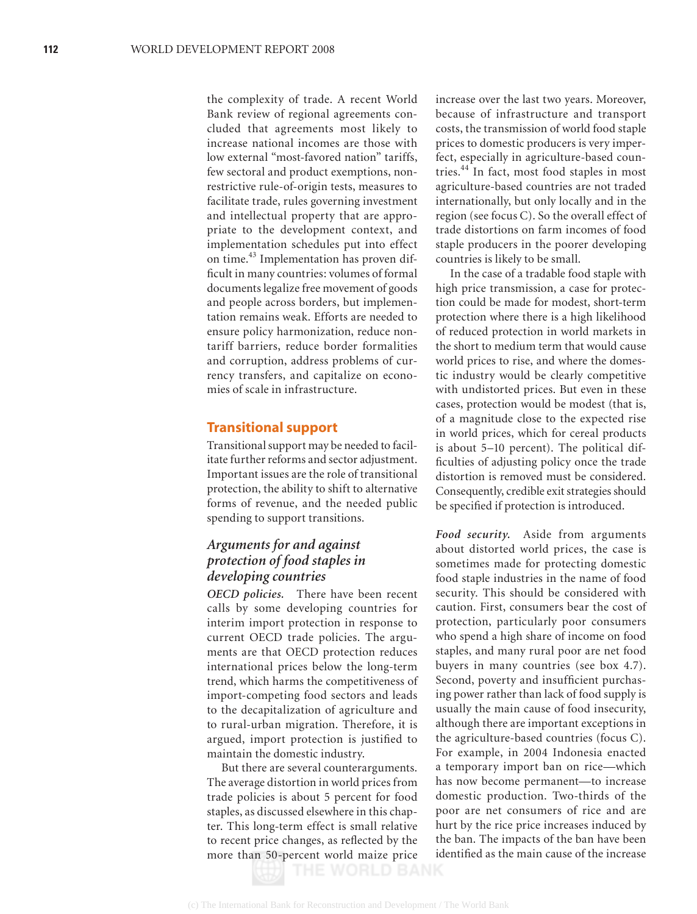the complexity of trade. A recent World Bank review of regional agreements concluded that agreements most likely to increase national incomes are those with low external "most-favored nation" tariffs, few sectoral and product exemptions, nonrestrictive rule-of-origin tests, measures to facilitate trade, rules governing investment and intellectual property that are appropriate to the development context, and implementation schedules put into effect on time.<sup>43</sup> Implementation has proven difficult in many countries: volumes of formal documents legalize free movement of goods and people across borders, but implementation remains weak. Efforts are needed to ensure policy harmonization, reduce nontariff barriers, reduce border formalities and corruption, address problems of currency transfers, and capitalize on economies of scale in infrastructure.

#### **Transitional support**

Transitional support may be needed to facilitate further reforms and sector adjustment. Important issues are the role of transitional protection, the ability to shift to alternative forms of revenue, and the needed public spending to support transitions.

## *Arguments for and against protection of food staples in developing countries*

*OECD policies.* There have been recent calls by some developing countries for interim import protection in response to current OECD trade policies. The arguments are that OECD protection reduces international prices below the long-term trend, which harms the competitiveness of import-competing food sectors and leads to the decapitalization of agriculture and to rural-urban migration. Therefore, it is argued, import protection is justified to maintain the domestic industry.

But there are several counterarguments. The average distortion in world prices from trade policies is about 5 percent for food staples, as discussed elsewhere in this chapter. This long-term effect is small relative to recent price changes, as reflected by the more than 50-percent world maize price increase over the last two years. Moreover, because of infrastructure and transport costs, the transmission of world food staple prices to domestic producers is very imperfect, especially in agriculture-based countries.44 In fact, most food staples in most agriculture-based countries are not traded internationally, but only locally and in the region (see focus C). So the overall effect of trade distortions on farm incomes of food staple producers in the poorer developing countries is likely to be small.

In the case of a tradable food staple with high price transmission, a case for protection could be made for modest, short-term protection where there is a high likelihood of reduced protection in world markets in the short to medium term that would cause world prices to rise, and where the domestic industry would be clearly competitive with undistorted prices. But even in these cases, protection would be modest (that is, of a magnitude close to the expected rise in world prices, which for cereal products is about 5–10 percent). The political difficulties of adjusting policy once the trade distortion is removed must be considered. Consequently, credible exit strategies should be specified if protection is introduced.

*Food security.* Aside from arguments about distorted world prices, the case is sometimes made for protecting domestic food staple industries in the name of food security. This should be considered with caution. First, consumers bear the cost of protection, particularly poor consumers who spend a high share of income on food staples, and many rural poor are net food buyers in many countries (see box 4.7). Second, poverty and insufficient purchasing power rather than lack of food supply is usually the main cause of food insecurity, although there are important exceptions in the agriculture-based countries (focus C). For example, in 2004 Indonesia enacted a temporary import ban on rice—which has now become permanent—to increase domestic production. Two-thirds of the poor are net consumers of rice and are hurt by the rice price increases induced by the ban. The impacts of the ban have been identified as the main cause of the increase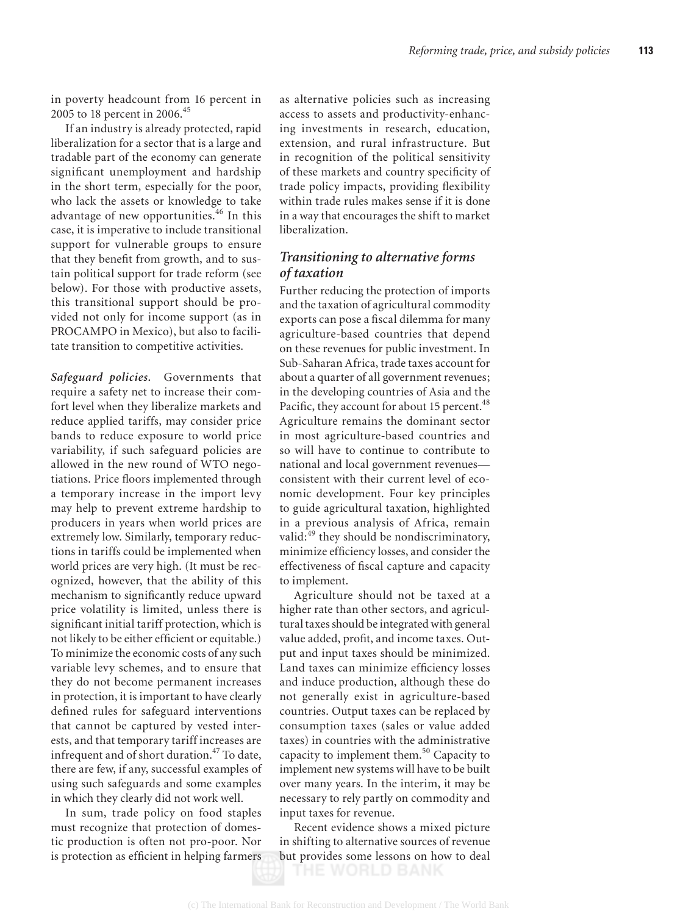in poverty headcount from 16 percent in 2005 to 18 percent in 2006.<sup>45</sup>

If an industry is already protected, rapid liberalization for a sector that is a large and tradable part of the economy can generate significant unemployment and hardship in the short term, especially for the poor, who lack the assets or knowledge to take advantage of new opportunities.<sup>46</sup> In this case, it is imperative to include transitional support for vulnerable groups to ensure that they benefit from growth, and to sustain political support for trade reform (see below). For those with productive assets, this transitional support should be provided not only for income support (as in PROCAMPO in Mexico), but also to facilitate transition to competitive activities.

*Safeguard policies.* Governments that require a safety net to increase their comfort level when they liberalize markets and reduce applied tariffs, may consider price bands to reduce exposure to world price variability, if such safeguard policies are allowed in the new round of WTO negotiations. Price floors implemented through a temporary increase in the import levy may help to prevent extreme hardship to producers in years when world prices are extremely low. Similarly, temporary reductions in tariffs could be implemented when world prices are very high. (It must be recognized, however, that the ability of this mechanism to significantly reduce upward price volatility is limited, unless there is significant initial tariff protection, which is not likely to be either efficient or equitable.) To minimize the economic costs of any such variable levy schemes, and to ensure that they do not become permanent increases in protection, it is important to have clearly defined rules for safeguard interventions that cannot be captured by vested interests, and that temporary tariff increases are infrequent and of short duration.<sup>47</sup> To date, there are few, if any, successful examples of using such safeguards and some examples in which they clearly did not work well.

In sum, trade policy on food staples must recognize that protection of domestic production is often not pro-poor. Nor is protection as efficient in helping farmers as alternative policies such as increasing access to assets and productivity-enhancing investments in research, education, extension, and rural infrastructure. But in recognition of the political sensitivity of these markets and country specificity of trade policy impacts, providing flexibility within trade rules makes sense if it is done in a way that encourages the shift to market liberalization.

# *Transitioning to alternative forms of taxation*

Further reducing the protection of imports and the taxation of agricultural commodity exports can pose a fiscal dilemma for many agriculture-based countries that depend on these revenues for public investment. In Sub-Saharan Africa, trade taxes account for about a quarter of all government revenues; in the developing countries of Asia and the Pacific, they account for about 15 percent.<sup>48</sup> Agriculture remains the dominant sector in most agriculture-based countries and so will have to continue to contribute to national and local government revenues consistent with their current level of economic development. Four key principles to guide agricultural taxation, highlighted in a previous analysis of Africa, remain valid:<sup>49</sup> they should be nondiscriminatory, minimize efficiency losses, and consider the effectiveness of fiscal capture and capacity to implement.

Agriculture should not be taxed at a higher rate than other sectors, and agricultural taxes should be integrated with general value added, profit, and income taxes. Output and input taxes should be minimized. Land taxes can minimize efficiency losses and induce production, although these do not generally exist in agriculture-based countries. Output taxes can be replaced by consumption taxes (sales or value added taxes) in countries with the administrative capacity to implement them.<sup>50</sup> Capacity to implement new systems will have to be built over many years. In the interim, it may be necessary to rely partly on commodity and input taxes for revenue.

Recent evidence shows a mixed picture in shifting to alternative sources of revenue but provides some lessons on how to deal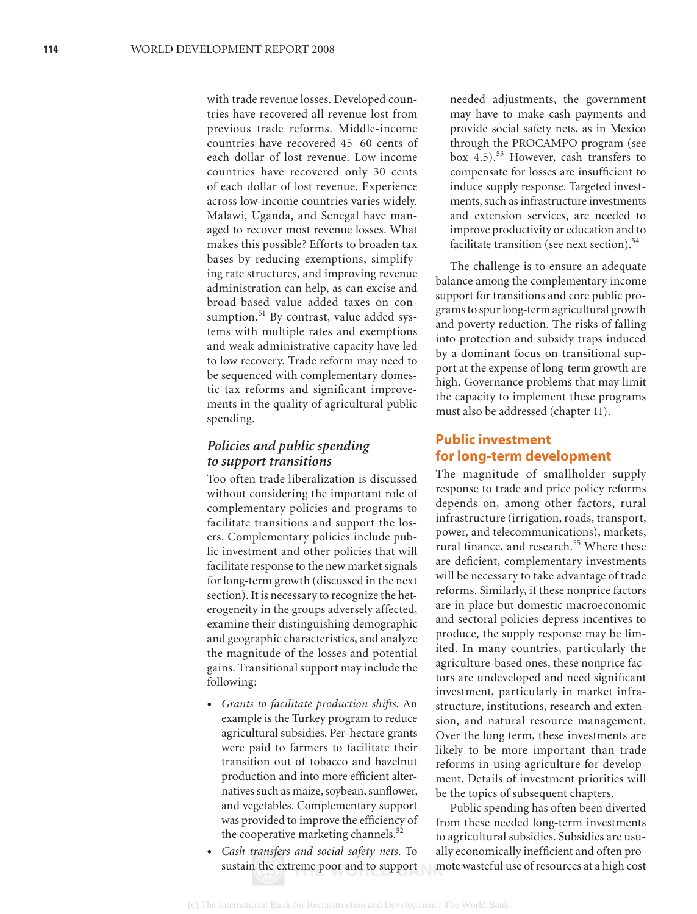with trade revenue losses. Developed countries have recovered all revenue lost from previous trade reforms. Middle-income countries have recovered 45–60 cents of each dollar of lost revenue. Low-income countries have recovered only 30 cents of each dollar of lost revenue. Experience across low-income countries varies widely. Malawi, Uganda, and Senegal have managed to recover most revenue losses. What makes this possible? Efforts to broaden tax bases by reducing exemptions, simplifying rate structures, and improving revenue administration can help, as can excise and broad-based value added taxes on consumption.<sup>51</sup> By contrast, value added systems with multiple rates and exemptions and weak administrative capacity have led to low recovery. Trade reform may need to be sequenced with complementary domestic tax reforms and significant improvements in the quality of agricultural public spending.

## *Policies and public spending to support transitions*

Too often trade liberalization is discussed without considering the important role of complementary policies and programs to facilitate transitions and support the losers. Complementary policies include public investment and other policies that will facilitate response to the new market signals for long-term growth (discussed in the next section). It is necessary to recognize the heterogeneity in the groups adversely affected, examine their distinguishing demographic and geographic characteristics, and analyze the magnitude of the losses and potential gains. Transitional support may include the following:

- *Grants to facilitate production shifts.* An example is the Turkey program to reduce agricultural subsidies. Per-hectare grants were paid to farmers to facilitate their transition out of tobacco and hazelnut production and into more efficient alternatives such as maize, soybean, sunflower, and vegetables. Complementary support was provided to improve the efficiency of the cooperative marketing channels.<sup>52</sup>
- *Cash transfers and social safety nets*. To sustain the extreme poor and to support

needed adjustments, the government may have to make cash payments and provide social safety nets, as in Mexico through the PROCAMPO program (see box 4.5).<sup>53</sup> However, cash transfers to compensate for losses are insufficient to induce supply response. Targeted investments, such as infrastructure investments and extension services, are needed to improve productivity or education and to facilitate transition (see next section). $54$ 

The challenge is to ensure an adequate balance among the complementary income support for transitions and core public programs to spur long-term agricultural growth and poverty reduction. The risks of falling into protection and subsidy traps induced by a dominant focus on transitional support at the expense of long-term growth are high. Governance problems that may limit the capacity to implement these programs must also be addressed (chapter 11).

# **Public investment for long-term development**

The magnitude of smallholder supply response to trade and price policy reforms depends on, among other factors, rural infrastructure (irrigation, roads, transport, power, and telecommunications), markets, rural finance, and research.<sup>55</sup> Where these are deficient, complementary investments will be necessary to take advantage of trade reforms. Similarly, if these nonprice factors are in place but domestic macroeconomic and sectoral policies depress incentives to produce, the supply response may be limited. In many countries, particularly the agriculture-based ones, these nonprice factors are undeveloped and need significant investment, particularly in market infrastructure, institutions, research and extension, and natural resource management. Over the long term, these investments are likely to be more important than trade reforms in using agriculture for development. Details of investment priorities will be the topics of subsequent chapters.

Public spending has often been diverted from these needed long-term investments to agricultural subsidies. Subsidies are usually economically inefficient and often promote wasteful use of resources at a high cost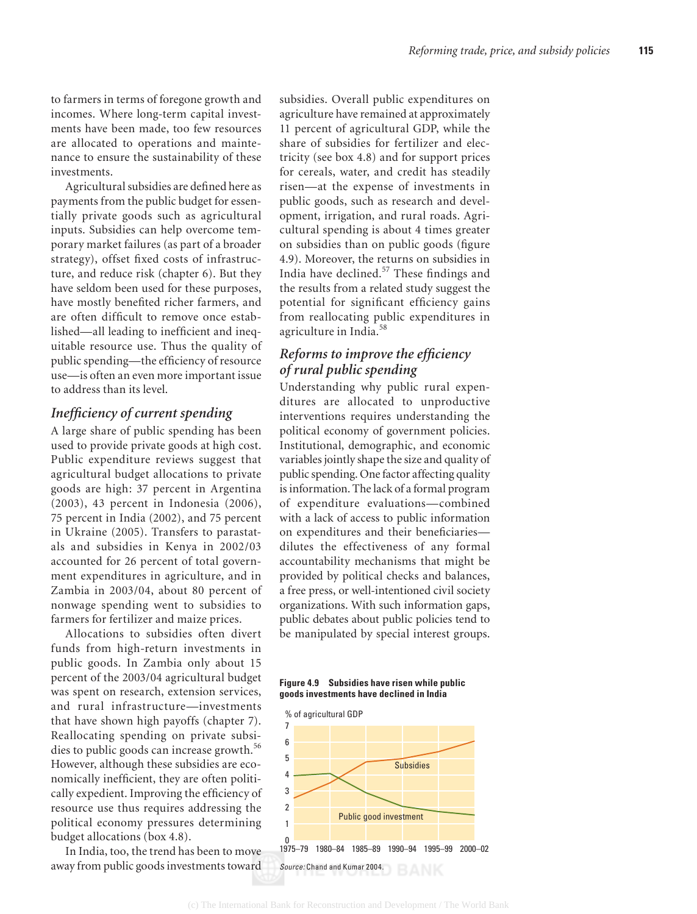to farmers in terms of foregone growth and incomes. Where long-term capital investments have been made, too few resources are allocated to operations and maintenance to ensure the sustainability of these investments.

Agricultural subsidies are defined here as payments from the public budget for essentially private goods such as agricultural inputs. Subsidies can help overcome temporary market failures (as part of a broader strategy), offset fixed costs of infrastructure, and reduce risk (chapter 6). But they have seldom been used for these purposes, have mostly benefited richer farmers, and are often difficult to remove once established—all leading to inefficient and inequitable resource use. Thus the quality of public spending—the efficiency of resource use—is often an even more important issue to address than its level.

#### *Ineffi ciency of current spending*

A large share of public spending has been used to provide private goods at high cost. Public expenditure reviews suggest that agricultural budget allocations to private goods are high: 37 percent in Argentina (2003), 43 percent in Indonesia (2006), 75 percent in India (2002), and 75 percent in Ukraine (2005). Transfers to parastatals and subsidies in Kenya in 2002/03 accounted for 26 percent of total government expenditures in agriculture, and in Zambia in 2003/04, about 80 percent of nonwage spending went to subsidies to farmers for fertilizer and maize prices.

Allocations to subsidies often divert funds from high-return investments in public goods. In Zambia only about 15 percent of the 2003/04 agricultural budget was spent on research, extension services, and rural infrastructure—investments that have shown high payoffs (chapter 7). Reallocating spending on private subsidies to public goods can increase growth.<sup>56</sup> However, although these subsidies are economically inefficient, they are often politically expedient. Improving the efficiency of resource use thus requires addressing the political economy pressures determining budget allocations (box 4.8).

In India, too, the trend has been to move away from public goods investments toward subsidies. Overall public expenditures on agriculture have remained at approximately 11 percent of agricultural GDP, while the share of subsidies for fertilizer and electricity (see box 4.8) and for support prices for cereals, water, and credit has steadily risen—at the expense of investments in public goods, such as research and development, irrigation, and rural roads. Agricultural spending is about 4 times greater on subsidies than on public goods (figure 4.9). Moreover, the returns on subsidies in India have declined.<sup>57</sup> These findings and the results from a related study suggest the potential for significant efficiency gains from reallocating public expenditures in agriculture in India.<sup>58</sup>

# *Reforms to improve the efficiency of rural public spending*

Understanding why public rural expenditures are allocated to unproductive interventions requires understanding the political economy of government policies. Institutional, demographic, and economic variables jointly shape the size and quality of public spending. One factor affecting quality is information. The lack of a formal program of expenditure evaluations—combined with a lack of access to public information on expenditures and their beneficiariesdilutes the effectiveness of any formal accountability mechanisms that might be provided by political checks and balances, a free press, or well-intentioned civil society organizations. With such information gaps, public debates about public policies tend to be manipulated by special interest groups.





(c) The International Bank for Reconstruction and Development / The World Bank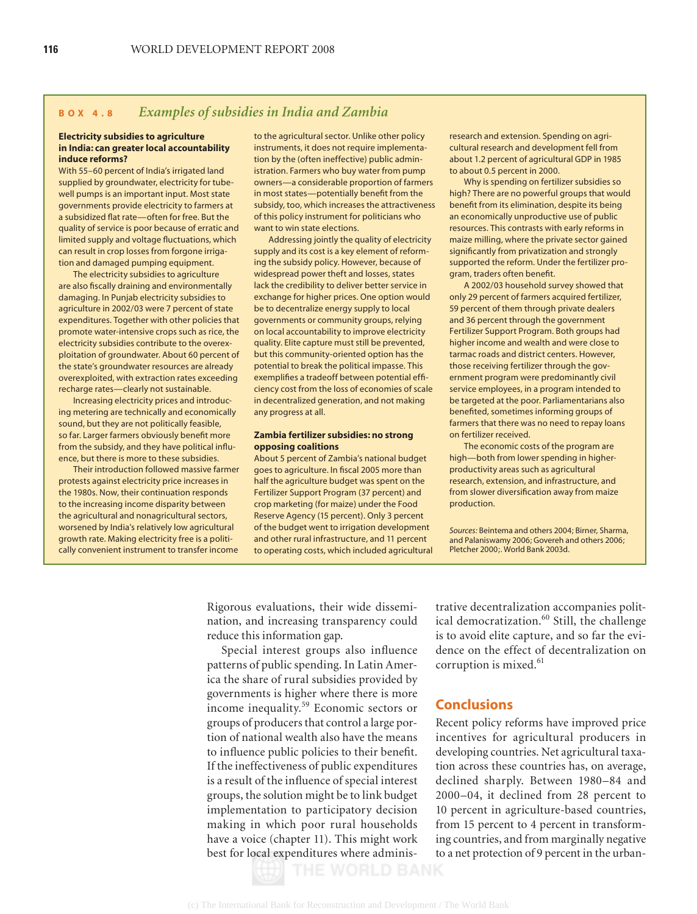#### **BOX 4.8** *Examples of subsidies in India and Zambia*

#### **Electricity subsidies to agriculture in India: can greater local accountability induce reforms?**

With 55–60 percent of India's irrigated land supplied by groundwater, electricity for tubewell pumps is an important input. Most state governments provide electricity to farmers at a subsidized flat rate—often for free. But the quality of service is poor because of erratic and limited supply and voltage fluctuations, which can result in crop losses from forgone irrigation and damaged pumping equipment.

The electricity subsidies to agriculture are also fiscally draining and environmentally damaging. In Punjab electricity subsidies to agriculture in 2002/03 were 7 percent of state expenditures. Together with other policies that promote water-intensive crops such as rice, the electricity subsidies contribute to the overexploitation of groundwater. About 60 percent of the state's groundwater resources are already overexploited, with extraction rates exceeding recharge rates—clearly not sustainable.

Increasing electricity prices and introducing metering are technically and economically sound, but they are not politically feasible, so far. Larger farmers obviously benefit more from the subsidy, and they have political influence, but there is more to these subsidies.

Their introduction followed massive farmer protests against electricity price increases in the 1980s. Now, their continuation responds to the increasing income disparity between the agricultural and nonagricultural sectors, worsened by India's relatively low agricultural growth rate. Making electricity free is a politically convenient instrument to transfer income to the agricultural sector. Unlike other policy instruments, it does not require implementation by the (often ineffective) public administration. Farmers who buy water from pump owners—a considerable proportion of farmers in most states—potentially benefit from the subsidy, too, which increases the attractiveness of this policy instrument for politicians who want to win state elections.

Addressing jointly the quality of electricity supply and its cost is a key element of reforming the subsidy policy. However, because of widespread power theft and losses, states lack the credibility to deliver better service in exchange for higher prices. One option would be to decentralize energy supply to local governments or community groups, relying on local accountability to improve electricity quality. Elite capture must still be prevented, but this community-oriented option has the potential to break the political impasse. This exemplifies a tradeoff between potential efficiency cost from the loss of economies of scale in decentralized generation, and not making any progress at all.

#### **Zambia fertilizer subsidies: no strong opposing coalitions**

About 5 percent of Zambia's national budget goes to agriculture. In fiscal 2005 more than half the agriculture budget was spent on the Fertilizer Support Program (37 percent) and crop marketing (for maize) under the Food Reserve Agency (15 percent). Only 3 percent of the budget went to irrigation development and other rural infrastructure, and 11 percent to operating costs, which included agricultural research and extension. Spending on agricultural research and development fell from about 1.2 percent of agricultural GDP in 1985 to about 0.5 percent in 2000.

Why is spending on fertilizer subsidies so high? There are no powerful groups that would benefit from its elimination, despite its being an economically unproductive use of public resources. This contrasts with early reforms in maize milling, where the private sector gained significantly from privatization and strongly supported the reform. Under the fertilizer program, traders often benefit.

A 2002/03 household survey showed that only 29 percent of farmers acquired fertilizer, 59 percent of them through private dealers and 36 percent through the government Fertilizer Support Program. Both groups had higher income and wealth and were close to tarmac roads and district centers. However, those receiving fertilizer through the government program were predominantly civil service employees, in a program intended to be targeted at the poor. Parliamentarians also benefited, sometimes informing groups of farmers that there was no need to repay loans on fertilizer received.

The economic costs of the program are high—both from lower spending in higherproductivity areas such as agricultural research, extension, and infrastructure, and from slower diversification away from maize production.

*Sources:* Beintema and others 2004; Birner, Sharma, and Palaniswamy 2006; Govereh and others 2006; Pletcher 2000;. World Bank 2003d.

Rigorous evaluations, their wide dissemination, and increasing transparency could reduce this information gap.

Special interest groups also influence patterns of public spending. In Latin America the share of rural subsidies provided by governments is higher where there is more income inequality.59 Economic sectors or groups of producers that control a large portion of national wealth also have the means to influence public policies to their benefit. If the ineffectiveness of public expenditures is a result of the influence of special interest groups, the solution might be to link budget implementation to participatory decision making in which poor rural households have a voice (chapter 11). This might work best for local expenditures where adminis-

trative decentralization accompanies political democratization.<sup>60</sup> Still, the challenge is to avoid elite capture, and so far the evidence on the effect of decentralization on corruption is mixed. $61$ 

#### **Conclusions**

Recent policy reforms have improved price incentives for agricultural producers in developing countries. Net agricultural taxation across these countries has, on average, declined sharply. Between 1980–84 and 2000–04, it declined from 28 percent to 10 percent in agriculture-based countries, from 15 percent to 4 percent in transforming countries, and from marginally negative to a net protection of 9 percent in the urban-